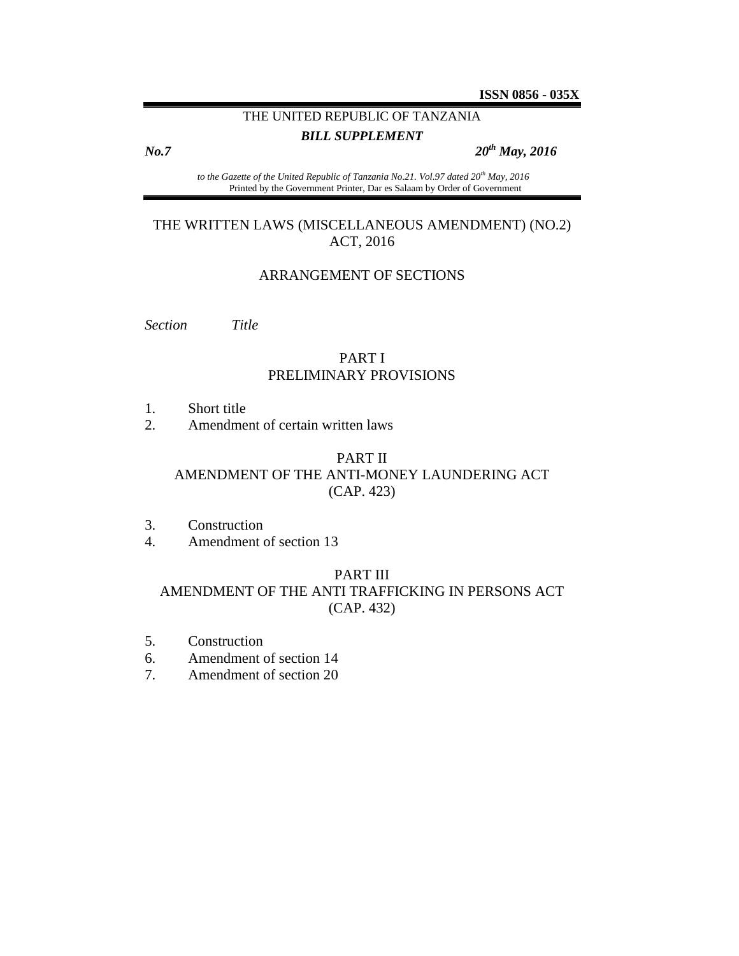# THE UNITED REPUBLIC OF TANZANIA

*BILL SUPPLEMENT*

*No.7 20th May, 2016*

*to the Gazette of the United Republic of Tanzania No.21. Vol.97 dated 20th May, 2016* Printed by the Government Printer, Dar es Salaam by Order of Government

# THE WRITTEN LAWS (MISCELLANEOUS AMENDMENT) (NO.2) ACT, 2016

#### ARRANGEMENT OF SECTIONS

*Section Title*

# PART I PRELIMINARY PROVISIONS

- 1. Short title
- 2. Amendment of certain written laws

#### PART II

#### AMENDMENT OF THE ANTI-MONEY LAUNDERING ACT (CAP. 423)

- 3. Construction
- 4. Amendment of section 13

#### PART III

# AMENDMENT OF THE ANTI TRAFFICKING IN PERSONS ACT (CAP. 432)

- 5. Construction
- 6. Amendment of section 14
- 7. Amendment of section 20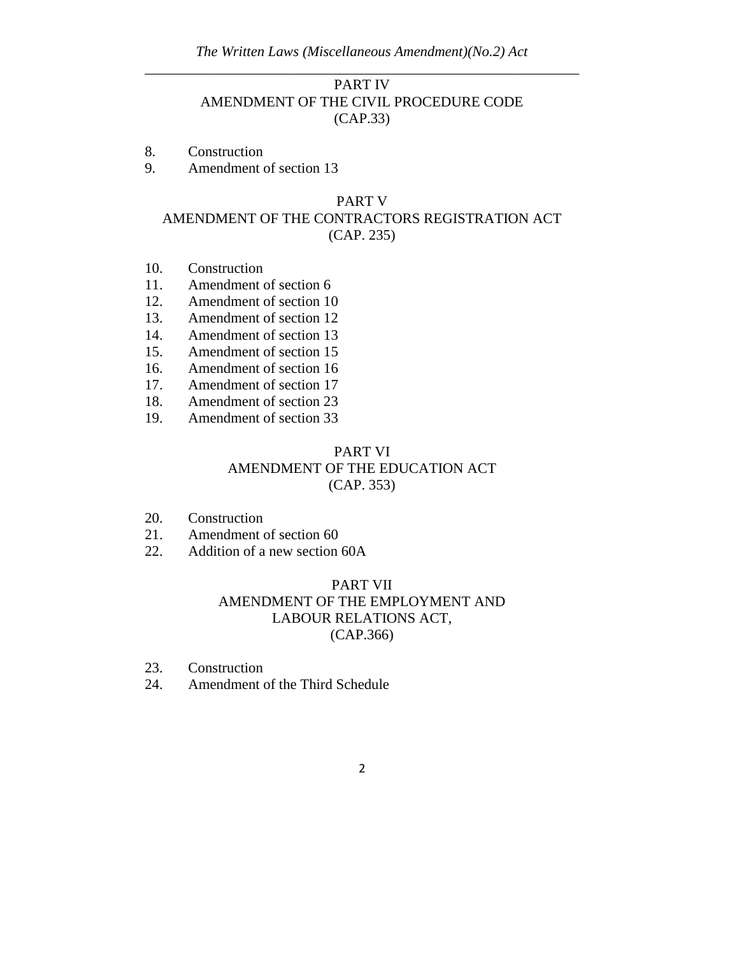# PART IV AMENDMENT OF THE CIVIL PROCEDURE CODE (CAP.33)

- 8. Construction
- 9. Amendment of section 13

### PART V AMENDMENT OF THE CONTRACTORS REGISTRATION ACT (CAP. 235)

- 10. Construction
- 11. Amendment of section 6
- 12. Amendment of section 10
- 13. Amendment of section 12
- 14. Amendment of section 13
- 15. Amendment of section 15
- 16. Amendment of section 16
- 17. Amendment of section 17
- 18. Amendment of section 23
- 19. Amendment of section 33

# PART VI AMENDMENT OF THE EDUCATION ACT (CAP. 353)

- 20. Construction
- 21. Amendment of section 60
- 22. Addition of a new section 60A

## PART VII AMENDMENT OF THE EMPLOYMENT AND LABOUR RELATIONS ACT, (CAP.366)

- 23. Construction
- 24. Amendment of the Third Schedule
	- 2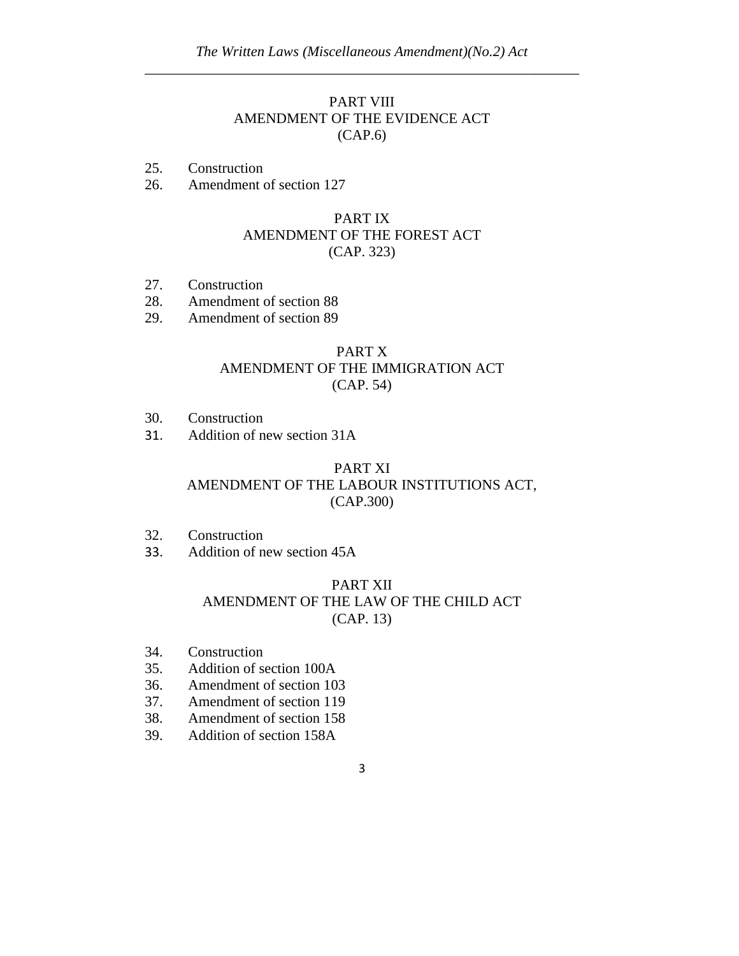### PART VIII AMENDMENT OF THE EVIDENCE ACT (CAP.6)

- 25. Construction
- 26. Amendment of section 127

# PART IX AMENDMENT OF THE FOREST ACT (CAP. 323)

- 27. Construction
- 28. Amendment of section 88
- 29. Amendment of section 89

# PART X AMENDMENT OF THE IMMIGRATION ACT (CAP. 54)

- 30. Construction
- 31. Addition of new section 31A

### PART XI AMENDMENT OF THE LABOUR INSTITUTIONS ACT, (CAP.300)

- 32. Construction
- 33. Addition of new section 45A

# PART XII AMENDMENT OF THE LAW OF THE CHILD ACT (CAP. 13)

- 34. Construction
- 35. Addition of section 100A
- 36. Amendment of section 103
- 37. Amendment of section 119
- 38. Amendment of section 158
- 39. Addition of section 158A
- 3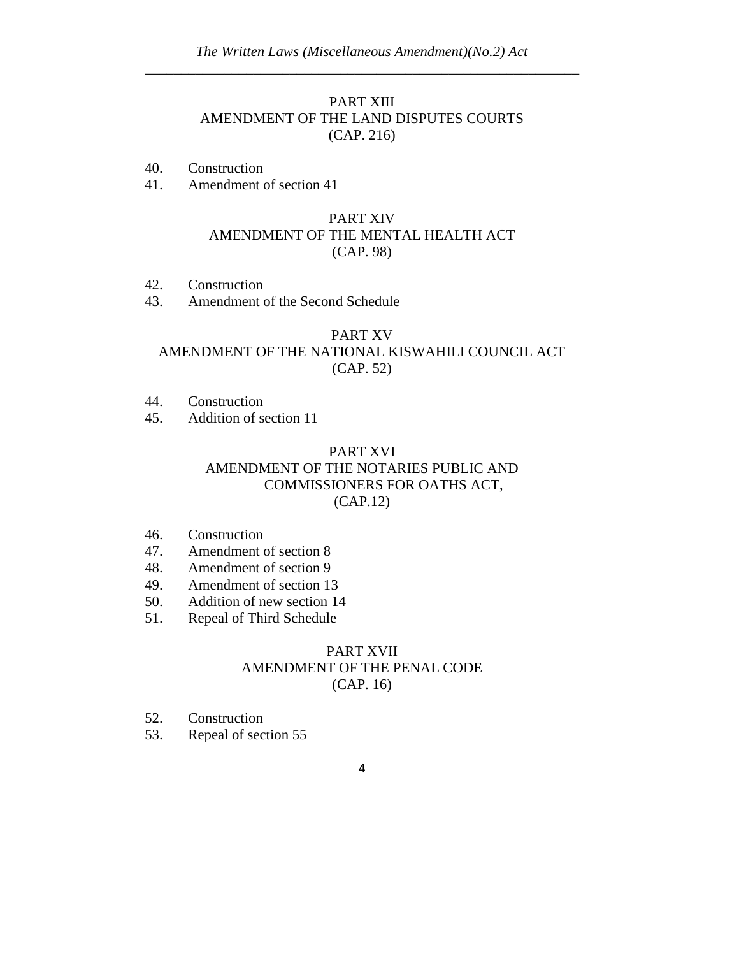# PART XIII AMENDMENT OF THE LAND DISPUTES COURTS (CAP. 216)

- 40. Construction
- 41. Amendment of section 41

# PART XIV AMENDMENT OF THE MENTAL HEALTH ACT (CAP. 98)

- 42. Construction
- 43. Amendment of the Second Schedule

# PART XV AMENDMENT OF THE NATIONAL KISWAHILI COUNCIL ACT (CAP. 52)

- 44. Construction
- 45. Addition of section 11

# PART XVI AMENDMENT OF THE NOTARIES PUBLIC AND COMMISSIONERS FOR OATHS ACT, (CAP.12)

- 46. Construction
- 47. Amendment of section 8
- 48. Amendment of section 9
- 49. Amendment of section 13
- 50. Addition of new section 14
- 51. Repeal of Third Schedule

# PART XVII AMENDMENT OF THE PENAL CODE (CAP. 16)

- 52. Construction
- 53. Repeal of section 55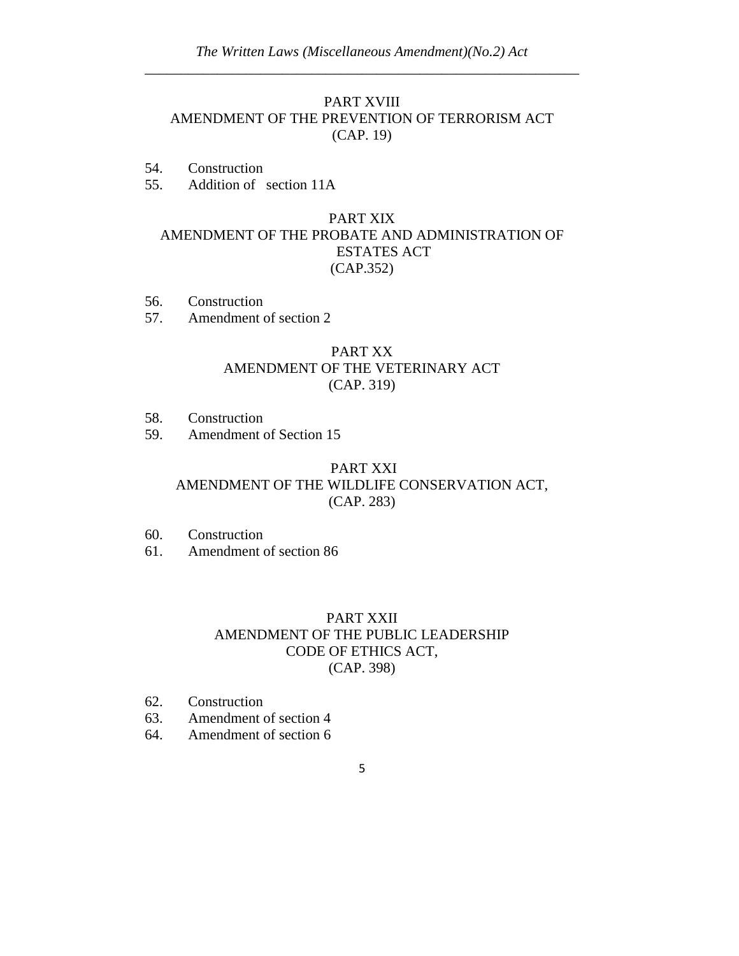## PART XVIII AMENDMENT OF THE PREVENTION OF TERRORISM ACT (CAP. 19)

- 54. Construction
- 55. Addition of section 11A

# PART XIX AMENDMENT OF THE PROBATE AND ADMINISTRATION OF ESTATES ACT (CAP.352)

- 56. Construction
- 57. Amendment of section 2

# PART XX AMENDMENT OF THE VETERINARY ACT (CAP. 319)

- 58. Construction
- 59. Amendment of Section 15

### PART XXI AMENDMENT OF THE WILDLIFE CONSERVATION ACT, (CAP. 283)

- 60. Construction
- 61. Amendment of section 86

# PART XXII AMENDMENT OF THE PUBLIC LEADERSHIP CODE OF ETHICS ACT, (CAP. 398)

- 62. Construction
- 63. Amendment of section 4
- 64. Amendment of section 6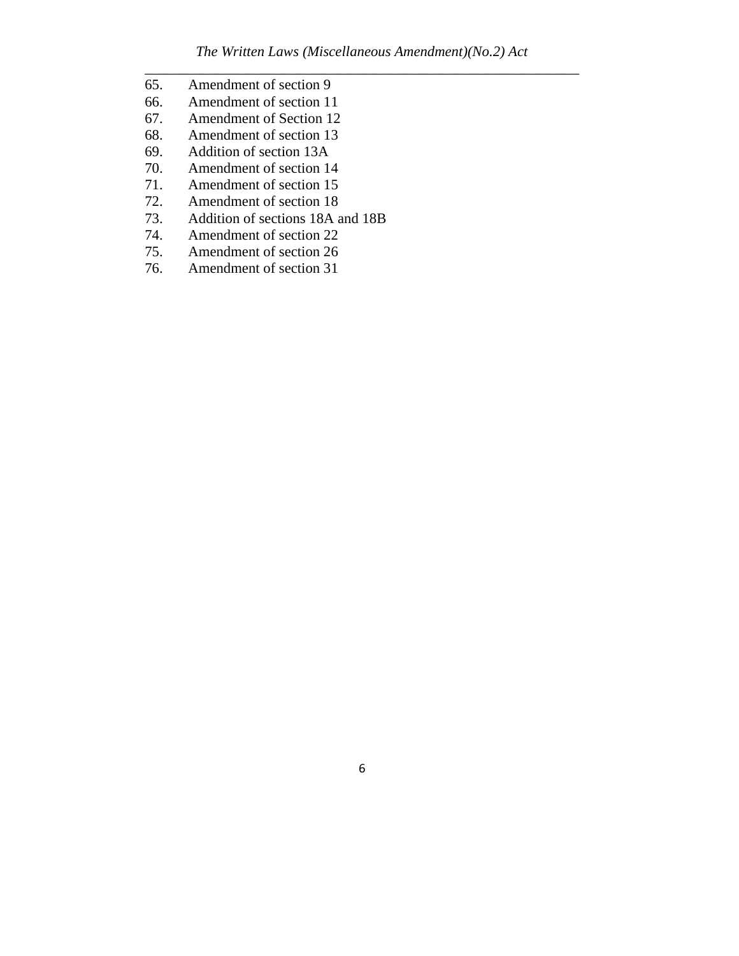- 65. Amendment of section 9
- 66. Amendment of section 11
- 67. Amendment of Section 12
- 68. Amendment of section 13
- 69. Addition of section 13A
- 70. Amendment of section 14
- 71. Amendment of section 15
- 72. Amendment of section 18
- 73. Addition of sections 18A and 18B
- 74. Amendment of section 22<br>75. Amendment of section 26
- Amendment of section 26
- 76. Amendment of section 31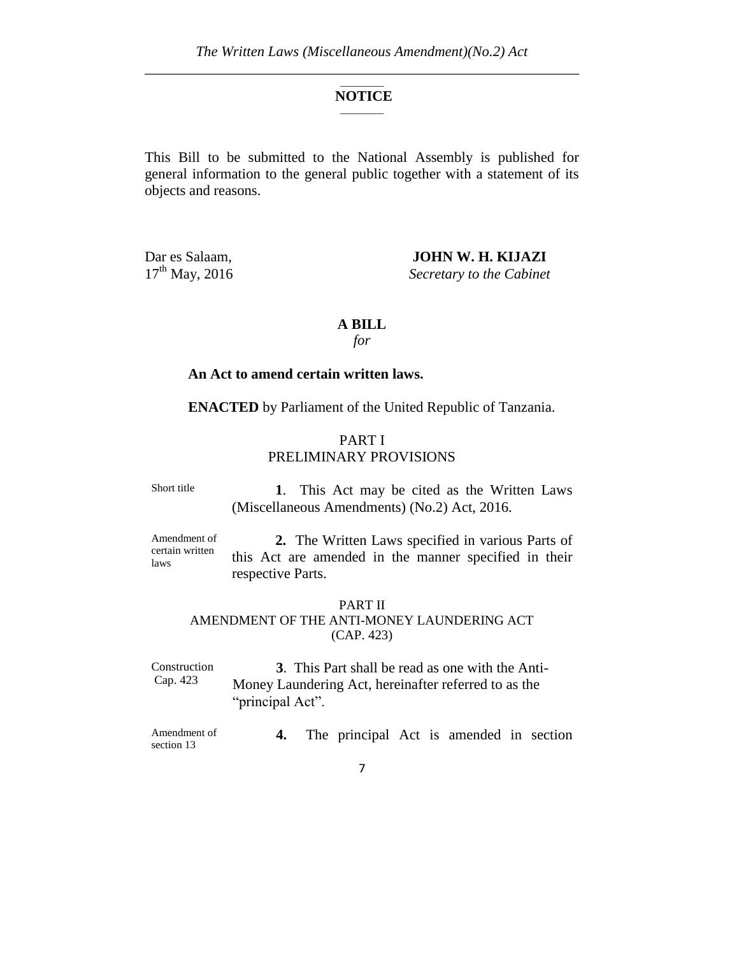#### $\mathcal{L}$ **NOTICE**  $\overline{\phantom{a}}$

This Bill to be submitted to the National Assembly is published for general information to the general public together with a statement of its objects and reasons.

Dar es Salaam, **JOHN W. H. KIJAZI**<br>17<sup>th</sup> May, 2016 Secretary to the Cabinet **Secretary to the Cabinet** 

#### **A BILL**

*for*

#### **An Act to amend certain written laws.**

**ENACTED** by Parliament of the United Republic of Tanzania.

#### PART I PRELIMINARY PROVISIONS

Short title

 **1**. This Act may be cited as the Written Laws (Miscellaneous Amendments) (No.2) Act, 2016.

Amendment of certain written laws

**2.** The Written Laws specified in various Parts of this Act are amended in the manner specified in their respective Parts.

#### PART II AMENDMENT OF THE ANTI-MONEY LAUNDERING ACT (CAP. 423)

Construction Cap. 423 **3**. This Part shall be read as one with the Anti-Money Laundering Act, hereinafter referred to as the "principal Act".

Amendment of section 13 **4.** The principal Act is amended in section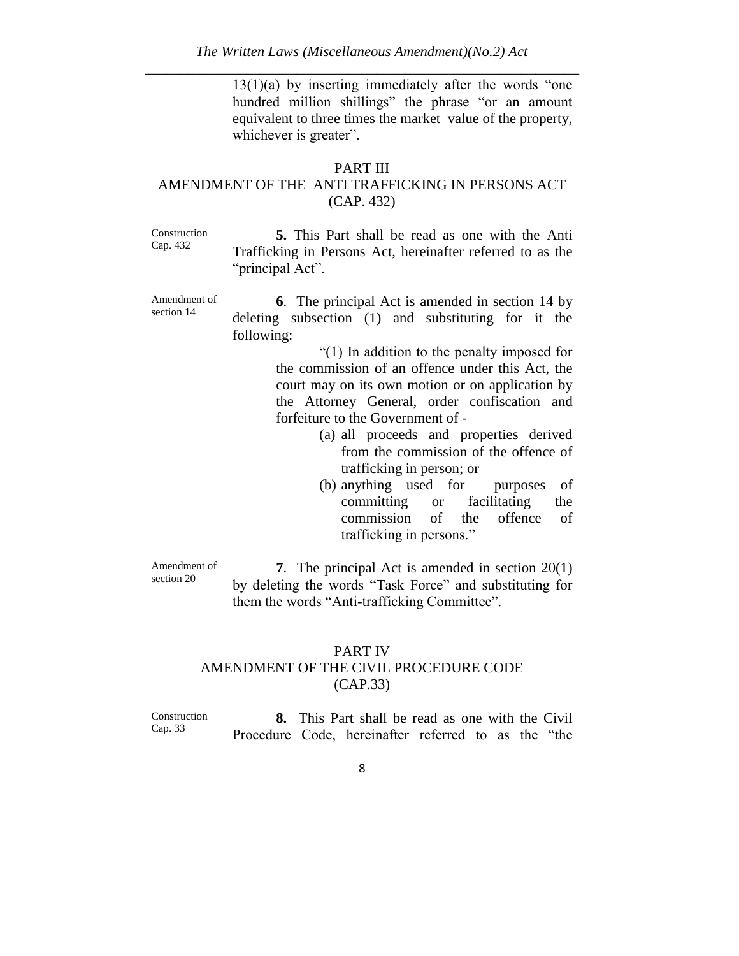$13(1)(a)$  by inserting immediately after the words "one" hundred million shillings" the phrase "or an amount equivalent to three times the market value of the property, whichever is greater".

### PART III

### AMENDMENT OF THE ANTI TRAFFICKING IN PERSONS ACT (CAP. 432)

Construction Cap. 432

**5.** This Part shall be read as one with the Anti Trafficking in Persons Act, hereinafter referred to as the "principal Act".

Amendment of section 14

**6**. The principal Act is amended in section 14 by deleting subsection (1) and substituting for it the following:

> "(1) In addition to the penalty imposed for the commission of an offence under this Act, the court may on its own motion or on application by the Attorney General, order confiscation and forfeiture to the Government of -

- (a) all proceeds and properties derived from the commission of the offence of trafficking in person; or
- (b) anything used for purposes of committing or facilitating the commission of the offence of trafficking in persons."

Amendment of section 20

**7**. The principal Act is amended in section 20(1) by deleting the words "Task Force" and substituting for them the words "Anti-trafficking Committee".

# PART IV AMENDMENT OF THE CIVIL PROCEDURE CODE (CAP.33)

Construction Cap. 33 **8.** This Part shall be read as one with the Civil Procedure Code, hereinafter referred to as the "the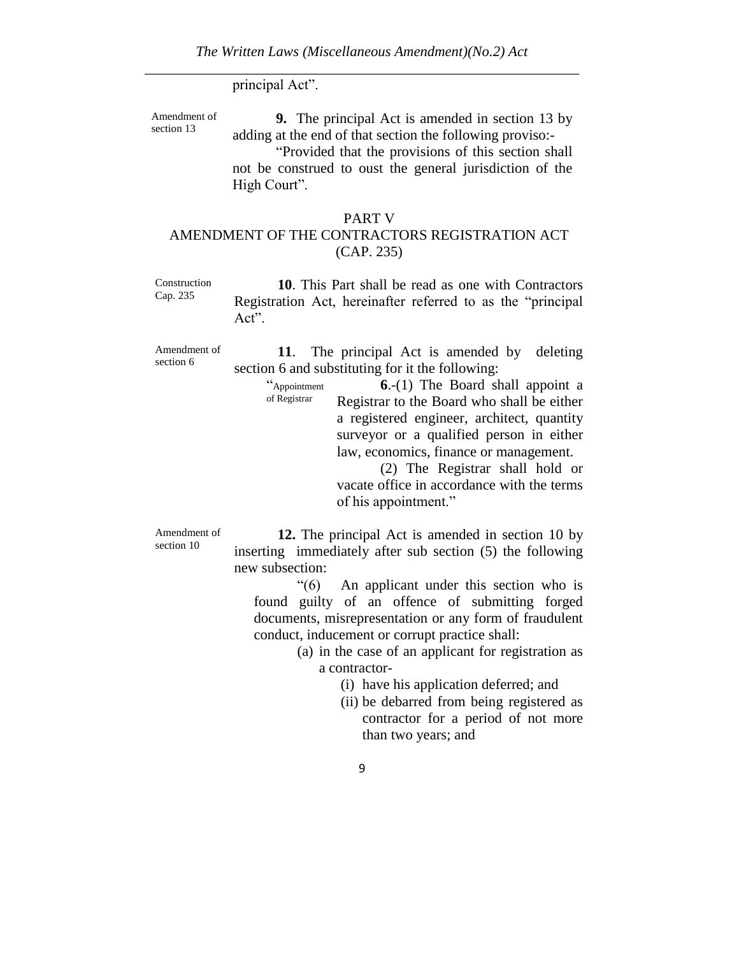#### principal Act".

of Registrar

Amendment of section 13

**9.** The principal Act is amended in section 13 by adding at the end of that section the following proviso:-

"Provided that the provisions of this section shall not be construed to oust the general jurisdiction of the High Court".

# PART V

# AMENDMENT OF THE CONTRACTORS REGISTRATION ACT (CAP. 235)

Construction Cap. 235

**10**. This Part shall be read as one with Contractors Registration Act, hereinafter referred to as the "principal Act".

Amendment of section 6

**11**. The principal Act is amended by deleting section 6 and substituting for it the following:

> "Appointment **6**.-(1) The Board shall appoint a Registrar to the Board who shall be either a registered engineer, architect, quantity surveyor or a qualified person in either law, economics, finance or management.

(2) The Registrar shall hold or vacate office in accordance with the terms of his appointment."

Amendment of section 10

**12.** The principal Act is amended in section 10 by inserting immediately after sub section (5) the following new subsection:

"(6) An applicant under this section who is found guilty of an offence of submitting forged documents, misrepresentation or any form of fraudulent conduct, inducement or corrupt practice shall:

> (a) in the case of an applicant for registration as a contractor-

> > (i) have his application deferred; and

(ii) be debarred from being registered as contractor for a period of not more than two years; and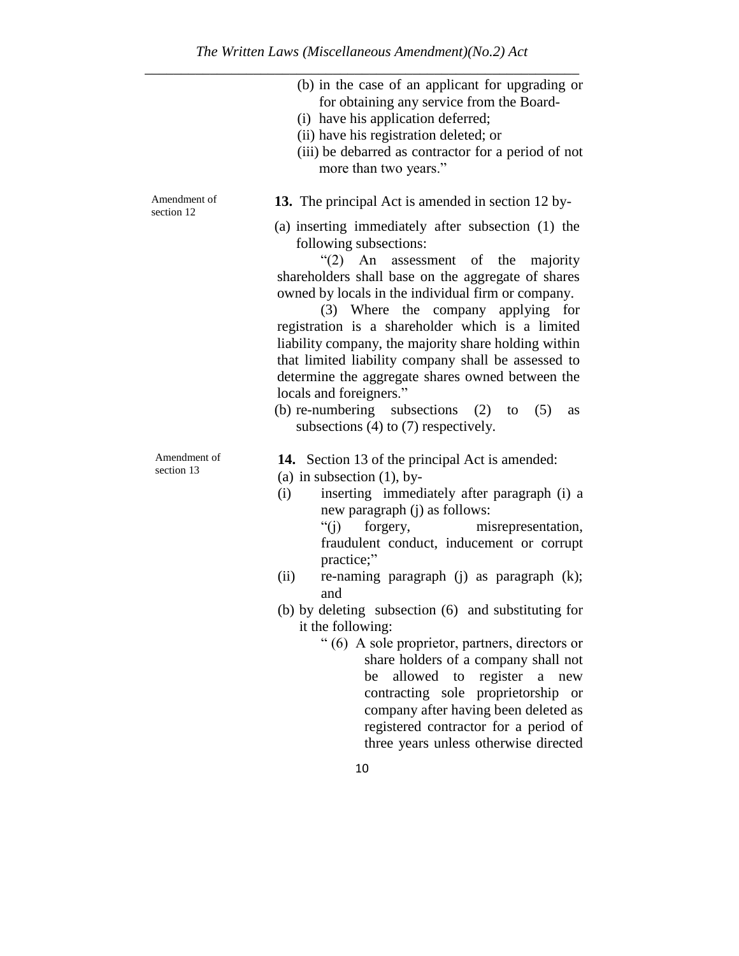|       | (b) in the case of an applicant for upgrading or<br>for obtaining any service from the Board-<br>(i) have his application deferred;<br>(ii) have his registration deleted; or<br>(iii) be debarred as contractor for a period of not<br>more than two years." |
|-------|---------------------------------------------------------------------------------------------------------------------------------------------------------------------------------------------------------------------------------------------------------------|
| nt of | <b>13.</b> The principal Act is amended in section 12 by-<br>(a) inserting immediately after subsection (1) the                                                                                                                                               |
|       | following subsections:                                                                                                                                                                                                                                        |
|       | " $(2)$ An assessment of the majority                                                                                                                                                                                                                         |
|       | shareholders shall base on the aggregate of shares                                                                                                                                                                                                            |
|       | owned by locals in the individual firm or company.                                                                                                                                                                                                            |
|       | (3) Where the company applying for                                                                                                                                                                                                                            |
|       | registration is a shareholder which is a limited                                                                                                                                                                                                              |
|       | lightlity company the mejority share holding within                                                                                                                                                                                                           |

liability company, the majority share holding within that limited liability company shall be assessed to determine the aggregate shares owned between the locals and foreigners."

- (b) re-numbering subsections (2) to (5) as subsections (4) to (7) respectively.
- **14.** Section 13 of the principal Act is amended:
- (a) in subsection  $(1)$ , by-
- (i) inserting immediately after paragraph (i) a new paragraph (j) as follows:

"(j) forgery, misrepresentation, fraudulent conduct, inducement or corrupt practice;"

- (ii) re-naming paragraph (j) as paragraph (k); and
- (b) by deleting subsection (6) and substituting for it the following:
	- " (6) A sole proprietor, partners, directors or share holders of a company shall not be allowed to register a new contracting sole proprietorship or company after having been deleted as registered contractor for a period of three years unless otherwise directed

Amendmen section 12

Amendment of section 13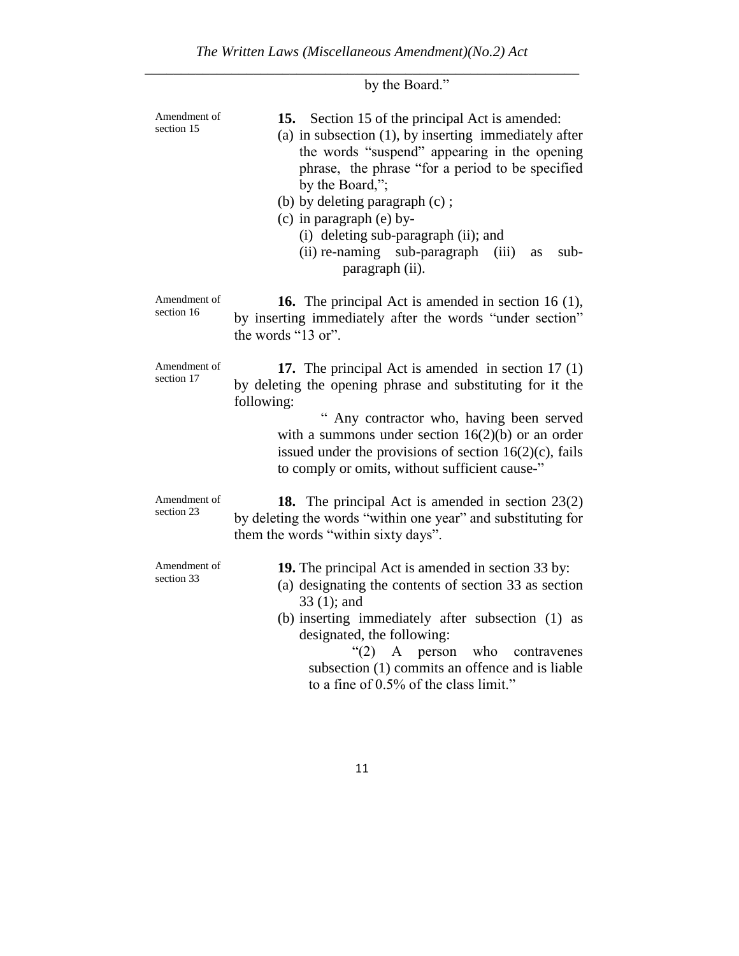|                            | by the Board."                                                                                                                                                                                                                                                                                                                                                                                                         |
|----------------------------|------------------------------------------------------------------------------------------------------------------------------------------------------------------------------------------------------------------------------------------------------------------------------------------------------------------------------------------------------------------------------------------------------------------------|
| Amendment of<br>section 15 | 15. Section 15 of the principal Act is amended:<br>(a) in subsection $(1)$ , by inserting immediately after<br>the words "suspend" appearing in the opening<br>phrase, the phrase "for a period to be specified<br>by the Board,";<br>(b) by deleting paragraph (c);<br>$(c)$ in paragraph $(e)$ by-<br>(i) deleting sub-paragraph (ii); and<br>(ii) re-naming sub-paragraph<br>(iii)<br>sub-<br>as<br>paragraph (ii). |
| Amendment of<br>section 16 | <b>16.</b> The principal Act is amended in section 16 (1),<br>by inserting immediately after the words "under section"<br>the words "13 or".                                                                                                                                                                                                                                                                           |
| Amendment of<br>section 17 | 17. The principal Act is amended in section $17(1)$<br>by deleting the opening phrase and substituting for it the<br>following:<br>Any contractor who, having been served<br>with a summons under section $16(2)(b)$ or an order<br>issued under the provisions of section $16(2)(c)$ , fails<br>to comply or omits, without sufficient cause-"                                                                        |
| Amendment of<br>section 23 | 18. The principal Act is amended in section 23(2)<br>by deleting the words "within one year" and substituting for<br>them the words "within sixty days".                                                                                                                                                                                                                                                               |
| Amendment of<br>section 33 | <b>19.</b> The principal Act is amended in section 33 by:<br>(a) designating the contents of section 33 as section<br>$33(1)$ ; and<br>(b) inserting immediately after subsection (1) as<br>designated, the following:<br>who<br>" $(2)$ A person<br>contravenes<br>subsection (1) commits an offence and is liable<br>to a fine of 0.5% of the class limit."                                                          |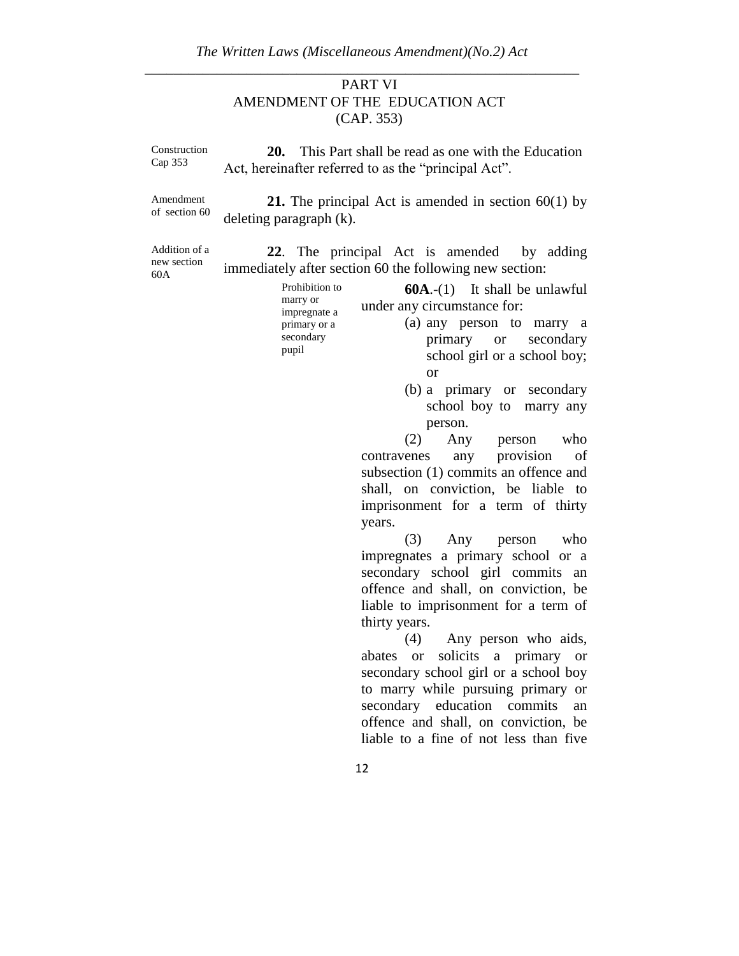# PART VI AMENDMENT OF THE EDUCATION ACT (CAP. 353)

| Construction<br>Cap 353             | 20.<br>This Part shall be read as one with the Education<br>Act, hereinafter referred to as the "principal Act".                                                                                                                                                                                                                                                                                                                                                                                                                                                                                                                                                                                                                                                                                                                                                                                                                                                                                                                                                                                                                         |
|-------------------------------------|------------------------------------------------------------------------------------------------------------------------------------------------------------------------------------------------------------------------------------------------------------------------------------------------------------------------------------------------------------------------------------------------------------------------------------------------------------------------------------------------------------------------------------------------------------------------------------------------------------------------------------------------------------------------------------------------------------------------------------------------------------------------------------------------------------------------------------------------------------------------------------------------------------------------------------------------------------------------------------------------------------------------------------------------------------------------------------------------------------------------------------------|
| Amendment<br>of section 60          | <b>21.</b> The principal Act is amended in section $60(1)$ by<br>deleting paragraph (k).                                                                                                                                                                                                                                                                                                                                                                                                                                                                                                                                                                                                                                                                                                                                                                                                                                                                                                                                                                                                                                                 |
| Addition of a<br>new section<br>60A | 22. The principal Act is amended by adding<br>immediately after section 60 the following new section:<br>Prohibition to<br>$60A.-(1)$ It shall be unlawful<br>marry or<br>under any circumstance for:<br>impregnate a<br>(a) any person to marry a<br>primary or a<br>secondary<br>primary or secondary<br>pupil<br>school girl or a school boy;<br><b>or</b><br>(b) a primary or secondary<br>school boy to marry any<br>person.<br>$(2)$ Any<br>who<br>person<br>contravenes any provision<br>of<br>subsection (1) commits an offence and<br>shall, on conviction, be liable to<br>imprisonment for a term of thirty<br>years.<br>(3)<br>Any<br>person<br>who<br>impregnates a primary school or a<br>secondary school girl commits an<br>offence and shall, on conviction, be<br>liable to imprisonment for a term of<br>thirty years.<br>(4)<br>Any person who aids,<br>solicits a primary or<br>abates<br><sub>or</sub><br>secondary school girl or a school boy<br>to marry while pursuing primary or<br>secondary education commits<br>an<br>offence and shall, on conviction, be<br>liable to a fine of not less than five<br>12 |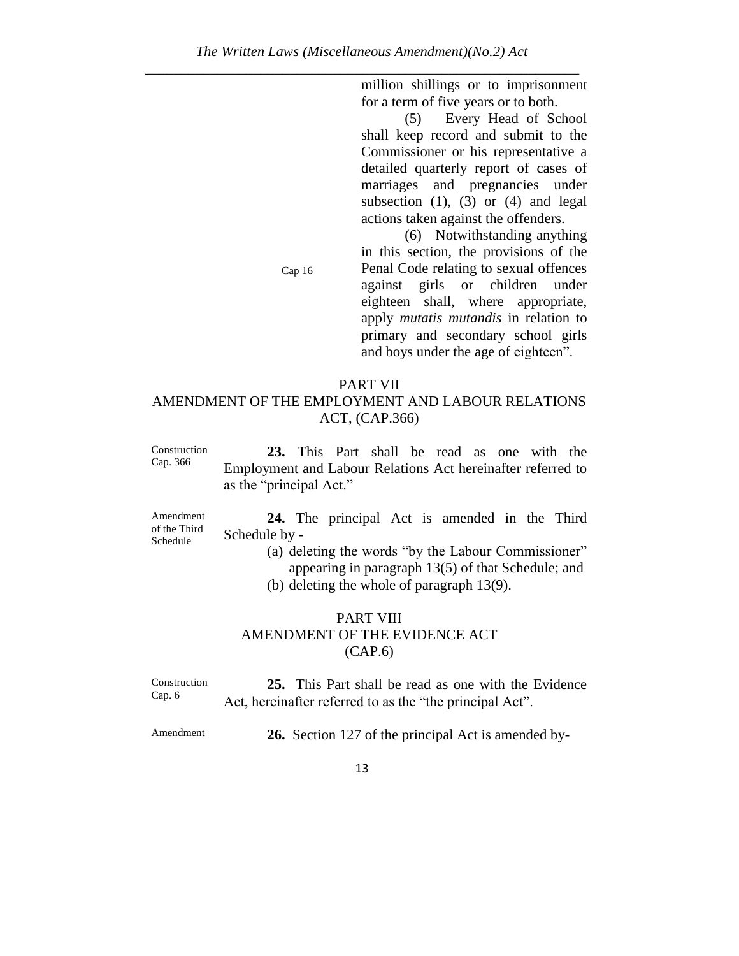million shillings or to imprisonment for a term of five years or to both.

(5) Every Head of School shall keep record and submit to the Commissioner or his representative a detailed quarterly report of cases of marriages and pregnancies under subsection  $(1)$ ,  $(3)$  or  $(4)$  and legal actions taken against the offenders.

(6) Notwithstanding anything in this section, the provisions of the Penal Code relating to sexual offences against girls or children under eighteen shall, where appropriate, apply *mutatis mutandis* in relation to primary and secondary school girls and boys under the age of eighteen".

#### PART VII

Cap 16

### AMENDMENT OF THE EMPLOYMENT AND LABOUR RELATIONS ACT, (CAP.366)

Construction Cap. 366 **23.** This Part shall be read as one with the Employment and Labour Relations Act hereinafter referred to as the "principal Act."

Amendment of the Third Schedule

**24.** The principal Act is amended in the Third Schedule by -

> (a) deleting the words "by the Labour Commissioner" appearing in paragraph 13(5) of that Schedule; and (b) deleting the whole of paragraph 13(9).

#### PART VIII AMENDMENT OF THE EVIDENCE ACT (CAP.6)

Construction Cap. 6 **25.** This Part shall be read as one with the Evidence Act, hereinafter referred to as the "the principal Act".

Amendment **26.** Section 127 of the principal Act is amended by-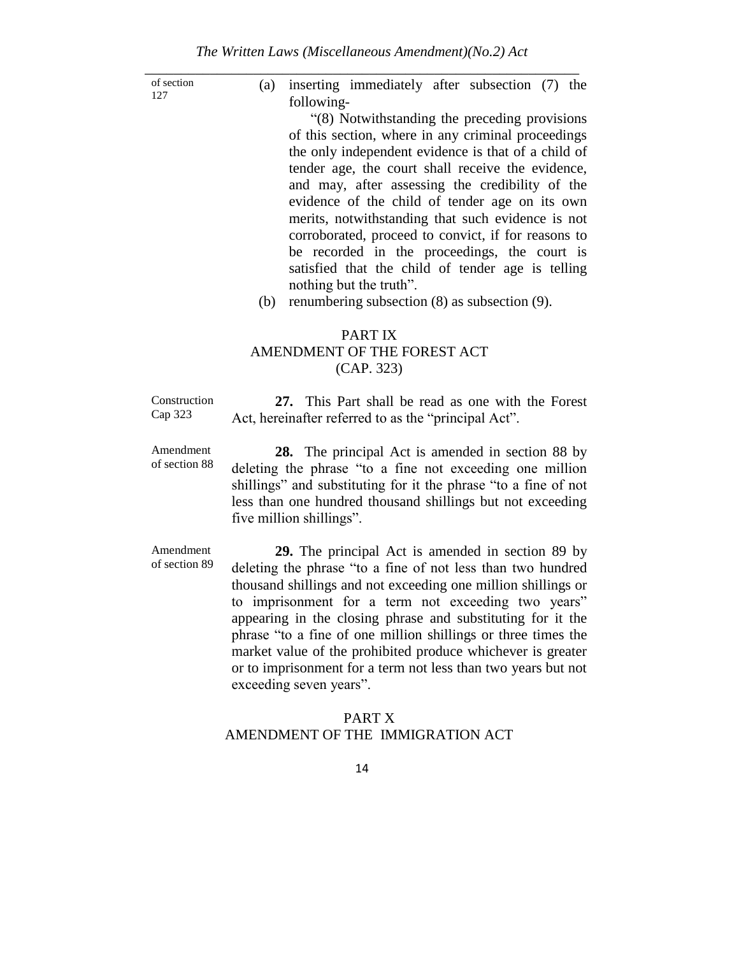of section 127

(a) inserting immediately after subsection (7) the following-

"(8) Notwithstanding the preceding provisions of this section, where in any criminal proceedings the only independent evidence is that of a child of tender age, the court shall receive the evidence, and may, after assessing the credibility of the evidence of the child of tender age on its own merits, notwithstanding that such evidence is not corroborated, proceed to convict, if for reasons to be recorded in the proceedings, the court is satisfied that the child of tender age is telling nothing but the truth".

(b) renumbering subsection (8) as subsection (9).

# PART IX AMENDMENT OF THE FOREST ACT (CAP. 323)

Construction Cap 323 **27.** This Part shall be read as one with the Forest Act, hereinafter referred to as the "principal Act".

Amendment of section 88

**28.** The principal Act is amended in section 88 by deleting the phrase "to a fine not exceeding one million shillings" and substituting for it the phrase "to a fine of not less than one hundred thousand shillings but not exceeding five million shillings".

Amendment of section 89

**29.** The principal Act is amended in section 89 by deleting the phrase "to a fine of not less than two hundred thousand shillings and not exceeding one million shillings or to imprisonment for a term not exceeding two years" appearing in the closing phrase and substituting for it the phrase "to a fine of one million shillings or three times the market value of the prohibited produce whichever is greater or to imprisonment for a term not less than two years but not exceeding seven years".

### PART X AMENDMENT OF THE IMMIGRATION ACT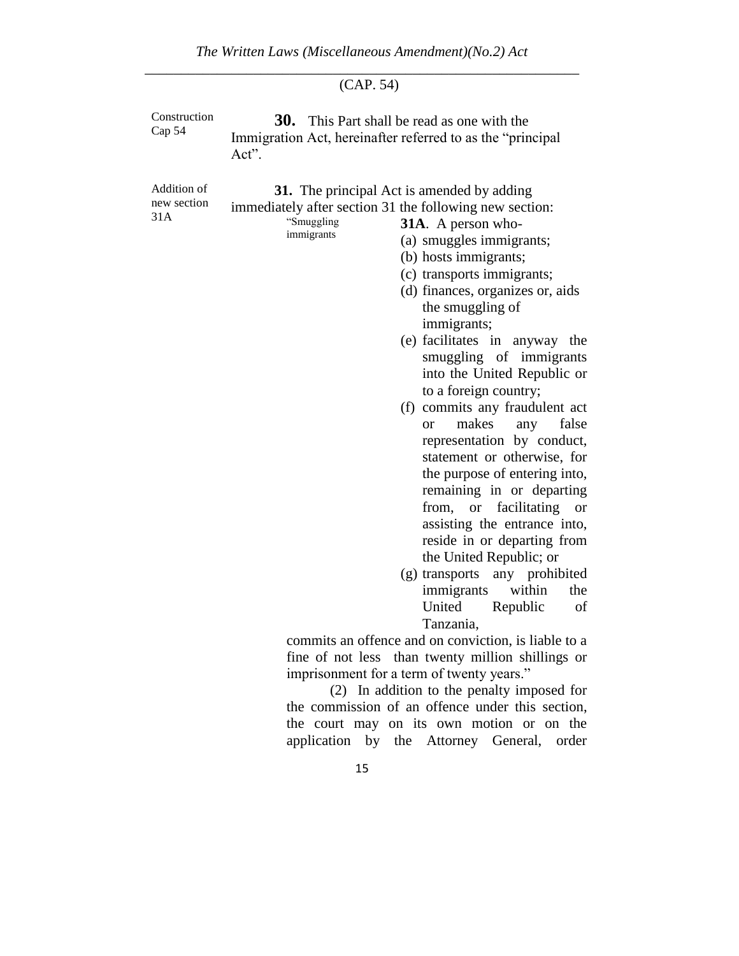# (CAP. 54)

| Construction<br>Cap 54            | <b>30.</b> This Part shall be read as one with the<br>Immigration Act, hereinafter referred to as the "principal<br>Act".                                                                                                                                                                                                                                                                                                                                                                                                                                                                                                                                                                                                                                                                                                                                                                          |
|-----------------------------------|----------------------------------------------------------------------------------------------------------------------------------------------------------------------------------------------------------------------------------------------------------------------------------------------------------------------------------------------------------------------------------------------------------------------------------------------------------------------------------------------------------------------------------------------------------------------------------------------------------------------------------------------------------------------------------------------------------------------------------------------------------------------------------------------------------------------------------------------------------------------------------------------------|
| Addition of<br>new section<br>31A | <b>31.</b> The principal Act is amended by adding<br>immediately after section 31 the following new section:<br>"Smuggling<br><b>31A.</b> A person who-<br>immigrants<br>(a) smuggles immigrants;<br>(b) hosts immigrants;<br>(c) transports immigrants;<br>(d) finances, organizes or, aids<br>the smuggling of<br>immigrants;<br>(e) facilitates in anyway the<br>smuggling of immigrants<br>into the United Republic or<br>to a foreign country;<br>(f) commits any fraudulent act<br>makes<br>false<br>any<br><b>or</b><br>representation by conduct,<br>statement or otherwise, for<br>the purpose of entering into,<br>remaining in or departing<br>facilitating<br>from, or<br><b>or</b><br>assisting the entrance into,<br>reside in or departing from<br>the United Republic; or<br>(g) transports any prohibited<br>within<br>immigrants<br>the<br>United<br>Republic<br>of<br>Tanzania, |
|                                   | commits an offence and on conviction, is liable to a                                                                                                                                                                                                                                                                                                                                                                                                                                                                                                                                                                                                                                                                                                                                                                                                                                               |
|                                   | fine of not less than twenty million shillings or                                                                                                                                                                                                                                                                                                                                                                                                                                                                                                                                                                                                                                                                                                                                                                                                                                                  |
|                                   | imprisonment for a term of twenty years."                                                                                                                                                                                                                                                                                                                                                                                                                                                                                                                                                                                                                                                                                                                                                                                                                                                          |
|                                   | (2) In addition to the penalty imposed for                                                                                                                                                                                                                                                                                                                                                                                                                                                                                                                                                                                                                                                                                                                                                                                                                                                         |
|                                   | the commission of an offence under this section,                                                                                                                                                                                                                                                                                                                                                                                                                                                                                                                                                                                                                                                                                                                                                                                                                                                   |
|                                   | the court may on its own motion or on the                                                                                                                                                                                                                                                                                                                                                                                                                                                                                                                                                                                                                                                                                                                                                                                                                                                          |
|                                   | application by the Attorney General, order                                                                                                                                                                                                                                                                                                                                                                                                                                                                                                                                                                                                                                                                                                                                                                                                                                                         |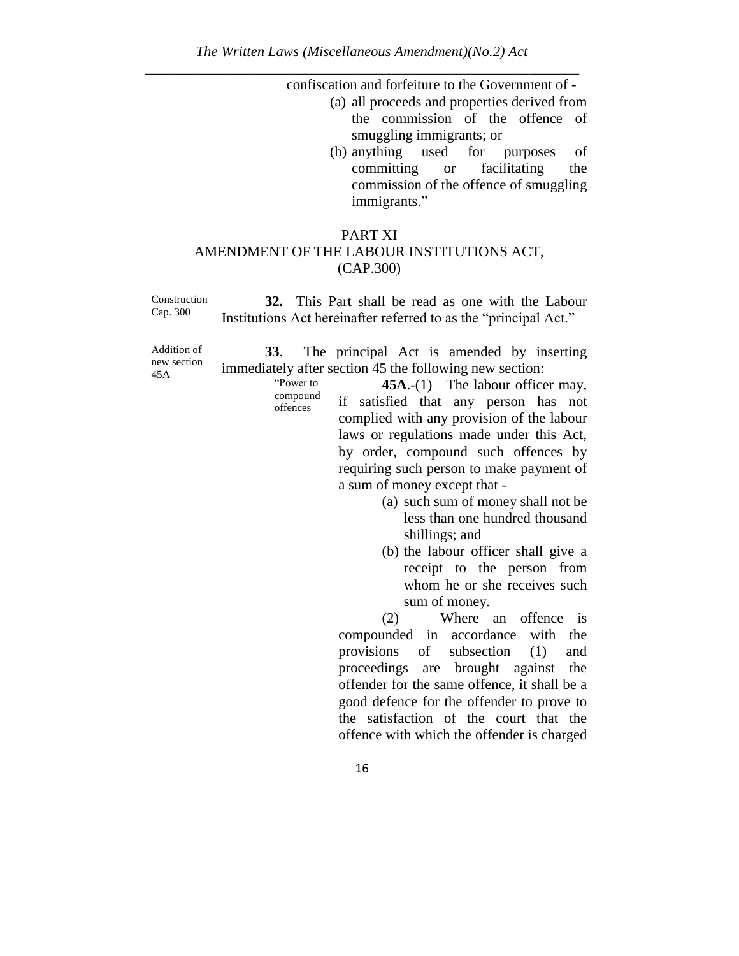confiscation and forfeiture to the Government of -

- (a) all proceeds and properties derived from the commission of the offence of smuggling immigrants; or
- (b) anything used for purposes of committing or facilitating the commission of the offence of smuggling immigrants."

#### PART XI AMENDMENT OF THE LABOUR INSTITUTIONS ACT, (CAP.300)

Construction Cap. 300 **32.** This Part shall be read as one with the Labour Institutions Act hereinafter referred to as the "principal Act."

Addition of new section 45A

**33**. The principal Act is amended by inserting immediately after section 45 the following new section:

"Power to compound offences

45A.-(1) The labour officer may, if satisfied that any person has not complied with any provision of the labour laws or regulations made under this Act, by order, compound such offences by requiring such person to make payment of a sum of money except that -

- (a) such sum of money shall not be less than one hundred thousand shillings; and
- (b) the labour officer shall give a receipt to the person from whom he or she receives such sum of money.

(2) Where an offence is compounded in accordance with the provisions of subsection (1) and proceedings are brought against the offender for the same offence, it shall be a good defence for the offender to prove to the satisfaction of the court that the offence with which the offender is charged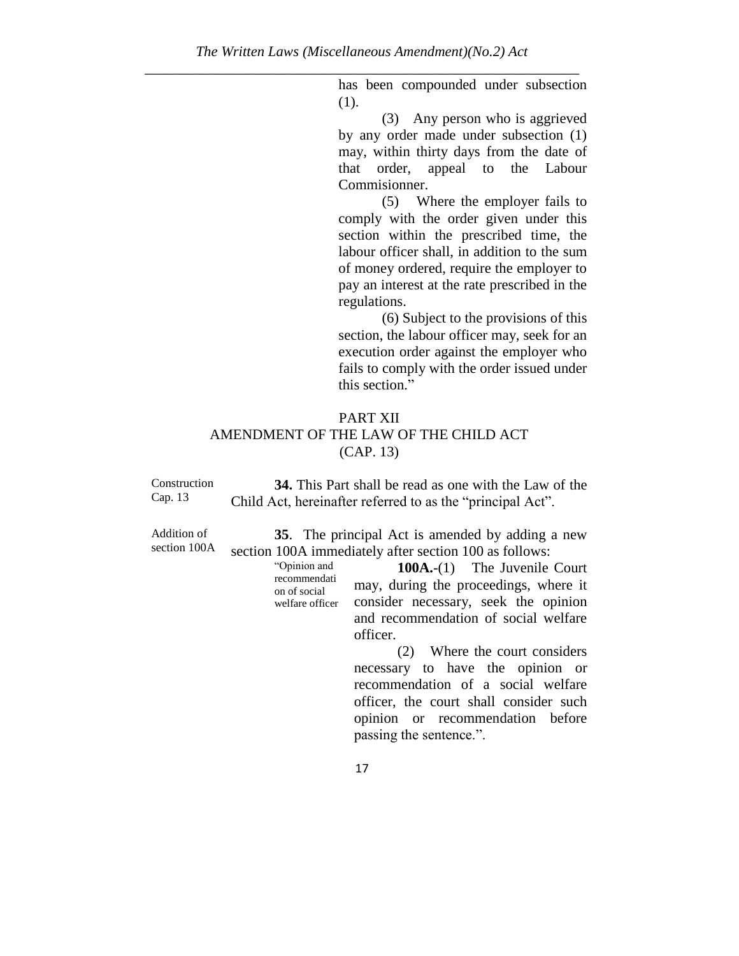has been compounded under subsection (1).

(3) Any person who is aggrieved by any order made under subsection (1) may, within thirty days from the date of that order, appeal to the Labour Commisionner.

(5) Where the employer fails to comply with the order given under this section within the prescribed time, the labour officer shall, in addition to the sum of money ordered, require the employer to pay an interest at the rate prescribed in the regulations.

(6) Subject to the provisions of this section, the labour officer may, seek for an execution order against the employer who fails to comply with the order issued under this section."

# PART XII AMENDMENT OF THE LAW OF THE CHILD ACT (CAP. 13)

Construction Cap. 13 **34.** This Part shall be read as one with the Law of the Child Act, hereinafter referred to as the "principal Act".

Addition of section 100A

**35**. The principal Act is amended by adding a new section 100A immediately after section 100 as follows:

> "Opinion and recommendati on of social welfare officer

**100A.**-(1) The Juvenile Court may, during the proceedings, where it consider necessary, seek the opinion and recommendation of social welfare officer.

(2) Where the court considers necessary to have the opinion or recommendation of a social welfare officer, the court shall consider such opinion or recommendation before passing the sentence.".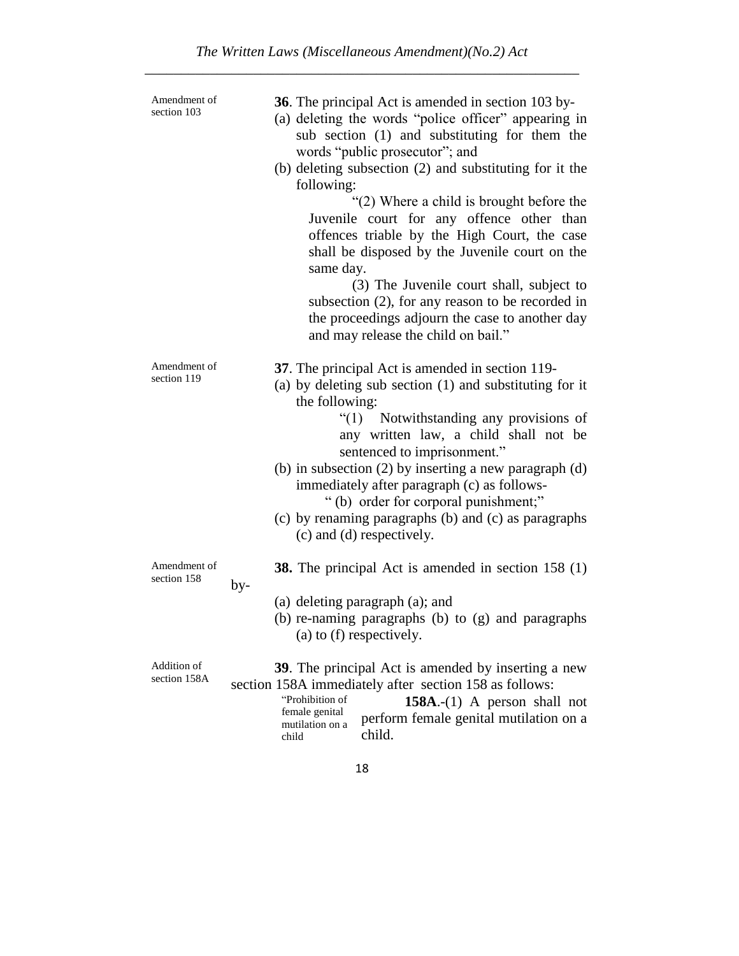| Amendment of<br>section 103 | <b>36</b> . The principal Act is amended in section 103 by-<br>(a) deleting the words "police officer" appearing in<br>sub section (1) and substituting for them the<br>words "public prosecutor"; and<br>(b) deleting subsection (2) and substituting for it the<br>following:<br>"(2) Where a child is brought before the<br>Juvenile court for any offence other than<br>offences triable by the High Court, the case<br>shall be disposed by the Juvenile court on the<br>same day.<br>(3) The Juvenile court shall, subject to<br>subsection $(2)$ , for any reason to be recorded in<br>the proceedings adjourn the case to another day<br>and may release the child on bail." |
|-----------------------------|--------------------------------------------------------------------------------------------------------------------------------------------------------------------------------------------------------------------------------------------------------------------------------------------------------------------------------------------------------------------------------------------------------------------------------------------------------------------------------------------------------------------------------------------------------------------------------------------------------------------------------------------------------------------------------------|
| Amendment of<br>section 119 | 37. The principal Act is amended in section 119-<br>(a) by deleting sub section (1) and substituting for it<br>the following:<br>"(1) Notwithstanding any provisions of<br>any written law, a child shall not be<br>sentenced to imprisonment."<br>(b) in subsection $(2)$ by inserting a new paragraph $(d)$<br>immediately after paragraph (c) as follows-<br>"(b) order for corporal punishment;"<br>(c) by renaming paragraphs (b) and (c) as paragraphs<br>(c) and (d) respectively.                                                                                                                                                                                            |
| Amendment of<br>section 158 | <b>38.</b> The principal Act is amended in section 158 (1)<br>by-<br>(a) deleting paragraph (a); and<br>(b) re-naming paragraphs (b) to (g) and paragraphs<br>(a) to (f) respectively.                                                                                                                                                                                                                                                                                                                                                                                                                                                                                               |
| Addition of<br>section 158A | <b>39.</b> The principal Act is amended by inserting a new<br>section 158A immediately after section 158 as follows:<br>"Prohibition of<br>$158A$ .-(1) A person shall not<br>female genital<br>perform female genital mutilation on a<br>mutilation on a<br>child.<br>child                                                                                                                                                                                                                                                                                                                                                                                                         |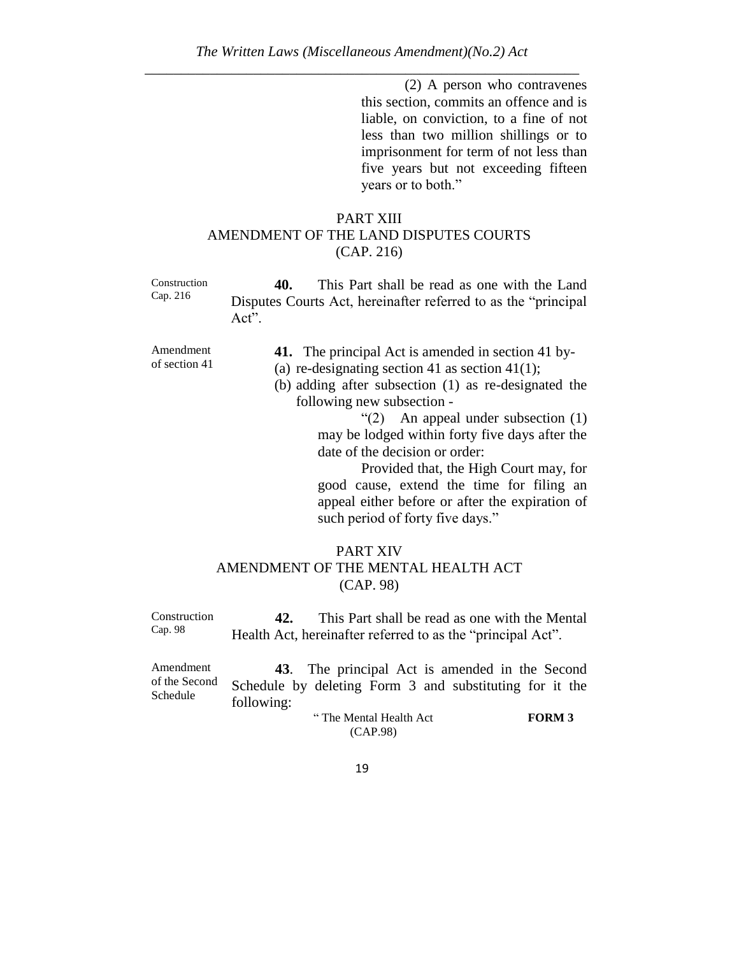(2) A person who contravenes this section, commits an offence and is liable, on conviction, to a fine of not less than two million shillings or to imprisonment for term of not less than five years but not exceeding fifteen years or to both."

# PART XIII AMENDMENT OF THE LAND DISPUTES COURTS (CAP. 216)

Construction Cap. 216

**40.** This Part shall be read as one with the Land Disputes Courts Act, hereinafter referred to as the "principal Act".

Amendment of section 41

- **41.** The principal Act is amended in section 41 by-
- (a) re-designating section 41 as section 41(1);

(b) adding after subsection (1) as re-designated the following new subsection -

> "(2) An appeal under subsection (1) may be lodged within forty five days after the date of the decision or order:

Provided that, the High Court may, for good cause, extend the time for filing an appeal either before or after the expiration of such period of forty five days."

# PART XIV AMENDMENT OF THE MENTAL HEALTH ACT (CAP. 98)

Construction Cap. 98 **42.** This Part shall be read as one with the Mental Health Act, hereinafter referred to as the "principal Act".

Amendment of the Second Schedule **43**. The principal Act is amended in the Second Schedule by deleting Form 3 and substituting for it the following: " The Mental Health Act **FORM 3**

(CAP.98)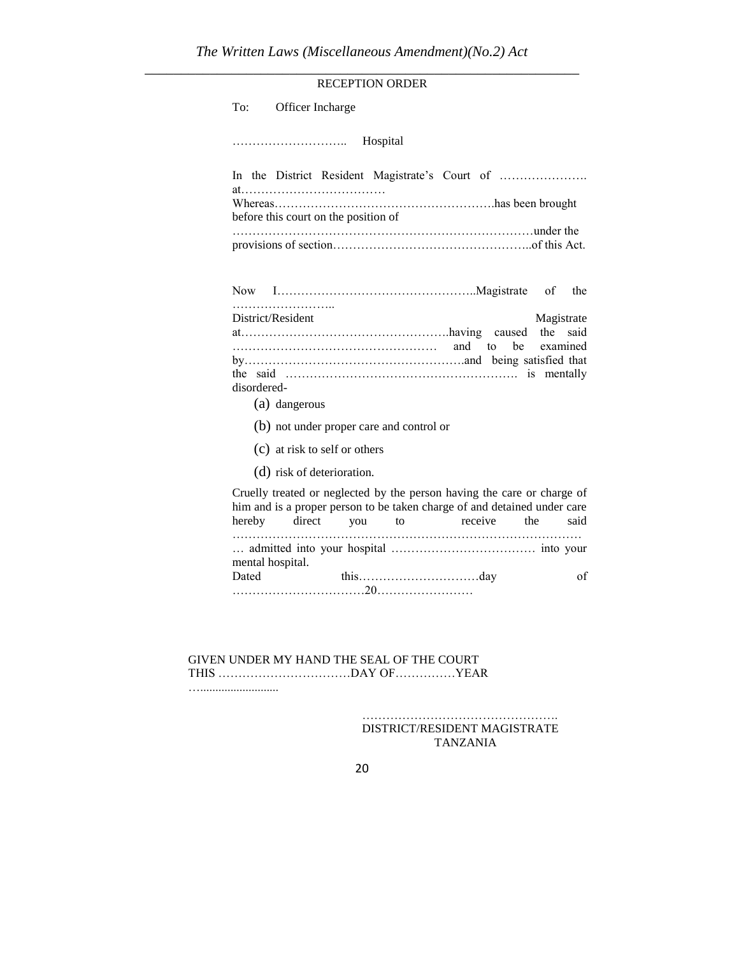|                   |                                          | <b>RECEPTION ORDER</b> |                                                                                                                                                     |                        |
|-------------------|------------------------------------------|------------------------|-----------------------------------------------------------------------------------------------------------------------------------------------------|------------------------|
| To:               | Officer Incharge                         |                        |                                                                                                                                                     |                        |
|                   |                                          | Hospital               |                                                                                                                                                     |                        |
|                   |                                          |                        | In the District Resident Magistrate's Court of                                                                                                      |                        |
|                   | before this court on the position of     |                        |                                                                                                                                                     |                        |
|                   |                                          |                        |                                                                                                                                                     |                        |
|                   |                                          |                        |                                                                                                                                                     | of<br>the              |
| District/Resident |                                          |                        |                                                                                                                                                     | Magistrate<br>the said |
|                   |                                          |                        | be<br>to                                                                                                                                            | examined               |
| disordered-       |                                          |                        |                                                                                                                                                     |                        |
|                   | (a) dangerous                            |                        |                                                                                                                                                     |                        |
|                   | (b) not under proper care and control or |                        |                                                                                                                                                     |                        |
|                   | (c) at risk to self or others            |                        |                                                                                                                                                     |                        |
|                   | (d) risk of deterioration.               |                        |                                                                                                                                                     |                        |
|                   |                                          |                        | Cruelly treated or neglected by the person having the care or charge of<br>him and is a proper person to be taken charge of and detained under care | the<br>said            |

Dated this………………………day of ……………………………20……………………

GIVEN UNDER MY HAND THE SEAL OF THE COURT THIS ……………………………DAY OF……………YEAR …..........................

mental hospital.

…………………………………………. DISTRICT/RESIDENT MAGISTRATE TANZANIA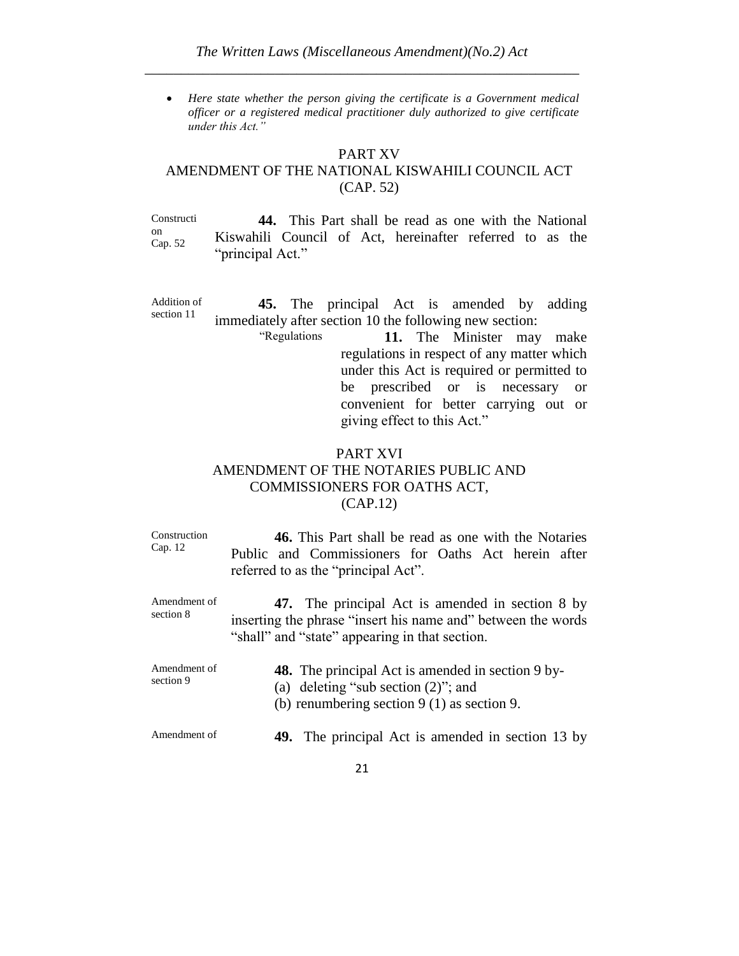*Here state whether the person giving the certificate is a Government medical officer or a registered medical practitioner duly authorized to give certificate under this Act."*

#### PART XV

# AMENDMENT OF THE NATIONAL KISWAHILI COUNCIL ACT (CAP. 52)

Constructi on Cap. 52 **44.** This Part shall be read as one with the National Kiswahili Council of Act, hereinafter referred to as the "principal Act."

Addition of section 11 **45.** The principal Act is amended by adding immediately after section 10 the following new section:

> "Regulations **11.** The Minister may make regulations in respect of any matter which under this Act is required or permitted to be prescribed or is necessary or convenient for better carrying out or giving effect to this Act."

# PART XVI AMENDMENT OF THE NOTARIES PUBLIC AND COMMISSIONERS FOR OATHS ACT, (CAP.12)

Construction Cap. 12 **46.** This Part shall be read as one with the Notaries Public and Commissioners for Oaths Act herein after referred to as the "principal Act". Amendment of section 8 **47.** The principal Act is amended in section 8 by inserting the phrase "insert his name and" between the words "shall" and "state" appearing in that section. Amendment of section 9 **48.** The principal Act is amended in section 9 by- (a) deleting "sub section (2)"; and (b) renumbering section 9 (1) as section 9. Amendment of **49.** The principal Act is amended in section 13 by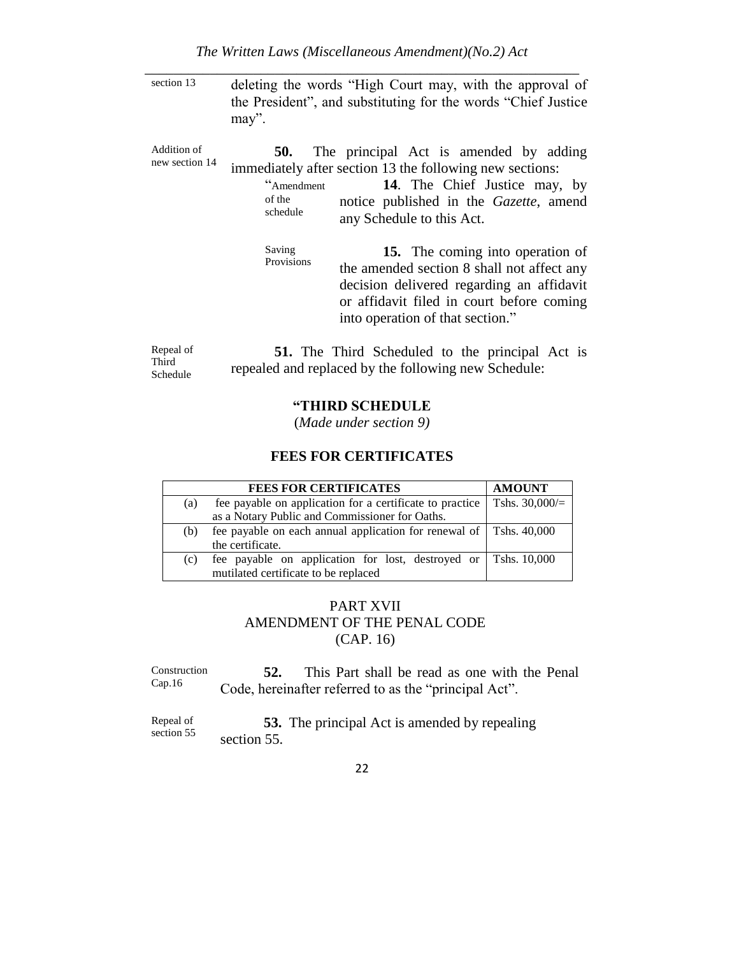section 13 deleting the words "High Court may, with the approval of the President", and substituting for the words "Chief Justice may".

Addition of new section 14 **50.** The principal Act is amended by adding immediately after section 13 the following new sections:

> "Amendment of the schedule **14**. The Chief Justice may, by notice published in the *Gazette*, amend any Schedule to this Act.

Saving Provisions

**15.** The coming into operation of the amended section 8 shall not affect any decision delivered regarding an affidavit or affidavit filed in court before coming into operation of that section."

Repeal of Third Schedule **51.** The Third Scheduled to the principal Act is repealed and replaced by the following new Schedule:

#### **"THIRD SCHEDULE**

(*Made under section 9)*

#### **FEES FOR CERTIFICATES**

|     | <b>FEES FOR CERTIFICATES</b>                                         | <b>AMOUNT</b>    |
|-----|----------------------------------------------------------------------|------------------|
| (a) | fee payable on application for a certificate to practice             | Tshs. $30,000/=$ |
|     | as a Notary Public and Commissioner for Oaths.                       |                  |
| (b) | fee payable on each annual application for renewal of   Tshs. 40,000 |                  |
|     | the certificate.                                                     |                  |
| (c) | fee payable on application for lost, destroyed or Tshs. 10,000       |                  |
|     | mutilated certificate to be replaced                                 |                  |

### PART XVII AMENDMENT OF THE PENAL CODE (CAP. 16)

Construction Cap.16 **52.** This Part shall be read as one with the Penal Code, hereinafter referred to as the "principal Act".

Repeal of section 55 **53.** The principal Act is amended by repealing section 55.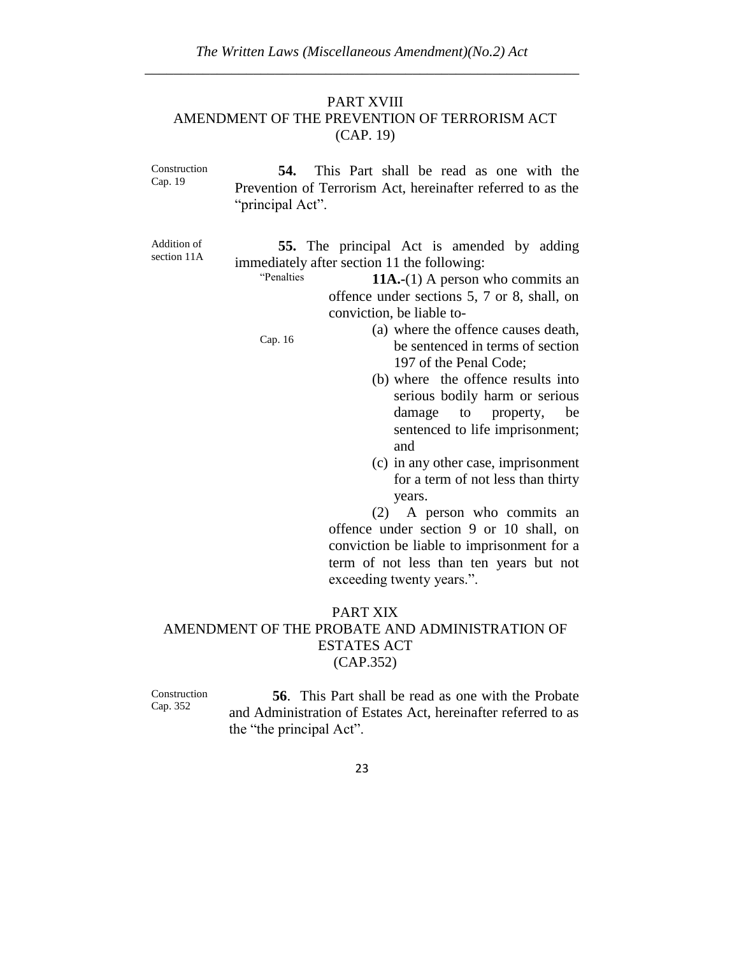### PART XVIII AMENDMENT OF THE PREVENTION OF TERRORISM ACT (CAP. 19)

Construction Cap. 19 **54.** This Part shall be read as one with the Prevention of Terrorism Act, hereinafter referred to as the "principal Act".

Addition of section 11A

**55.** The principal Act is amended by adding immediately after section 11 the following:

"Penalties **11A.-**(1) A person who commits an offence under sections 5, 7 or 8, shall, on conviction, be liable to-

Cap. 16

- (a) where the offence causes death, be sentenced in terms of section 197 of the Penal Code;
	- (b) where the offence results into serious bodily harm or serious damage to property, be sentenced to life imprisonment; and
	- (c) in any other case, imprisonment for a term of not less than thirty years.

(2) A person who commits an offence under section 9 or 10 shall, on conviction be liable to imprisonment for a term of not less than ten years but not exceeding twenty years.".

#### PART XIX

### AMENDMENT OF THE PROBATE AND ADMINISTRATION OF ESTATES ACT (CAP.352)

Construction Cap. 352

**56**. This Part shall be read as one with the Probate and Administration of Estates Act, hereinafter referred to as the "the principal Act".

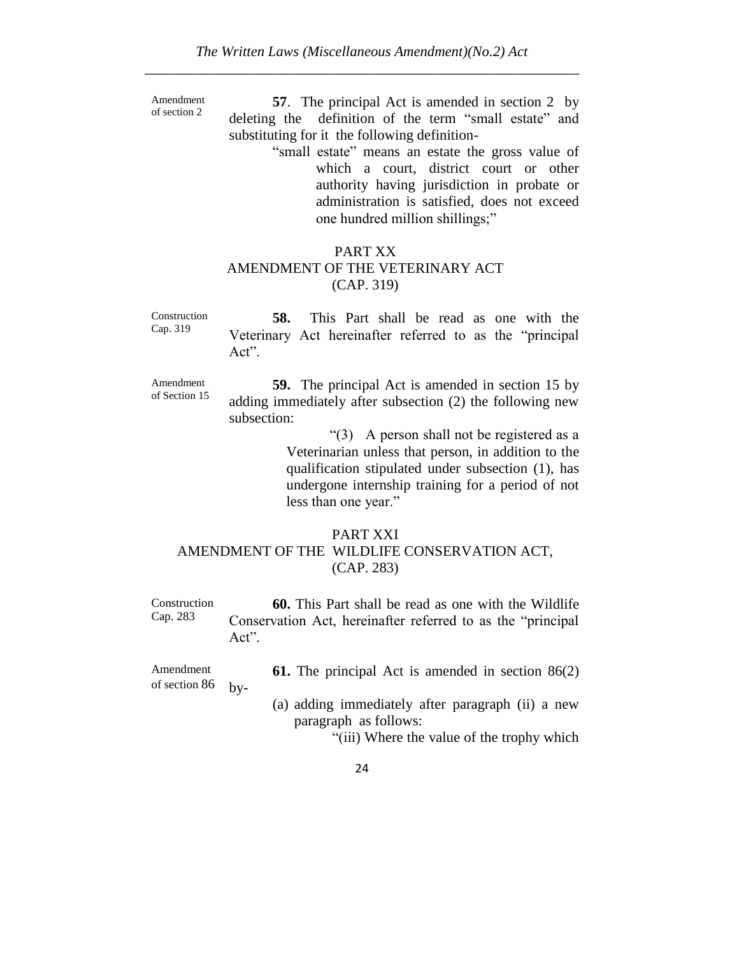Amendment of section 2

**57**. The principal Act is amended in section 2 by deleting the definition of the term "small estate" and substituting for it the following definition-

> "small estate" means an estate the gross value of which a court, district court or other authority having jurisdiction in probate or administration is satisfied, does not exceed one hundred million shillings;"

# PART XX AMENDMENT OF THE VETERINARY ACT (CAP. 319)

Construction Cap. 319 **58.** This Part shall be read as one with the Veterinary Act hereinafter referred to as the "principal Act".

Amendment of Section 15 **59.** The principal Act is amended in section 15 by adding immediately after subsection (2) the following new subsection:

> "(3) A person shall not be registered as a Veterinarian unless that person, in addition to the qualification stipulated under subsection (1), has undergone internship training for a period of not less than one year."

# PART XXI AMENDMENT OF THE WILDLIFE CONSERVATION ACT, (CAP. 283)

Construction Cap. 283 **60.** This Part shall be read as one with the Wildlife Conservation Act, hereinafter referred to as the "principal Act".

Amendment of section 86 by**61.** The principal Act is amended in section 86(2)

(a) adding immediately after paragraph (ii) a new paragraph as follows:

"(iii) Where the value of the trophy which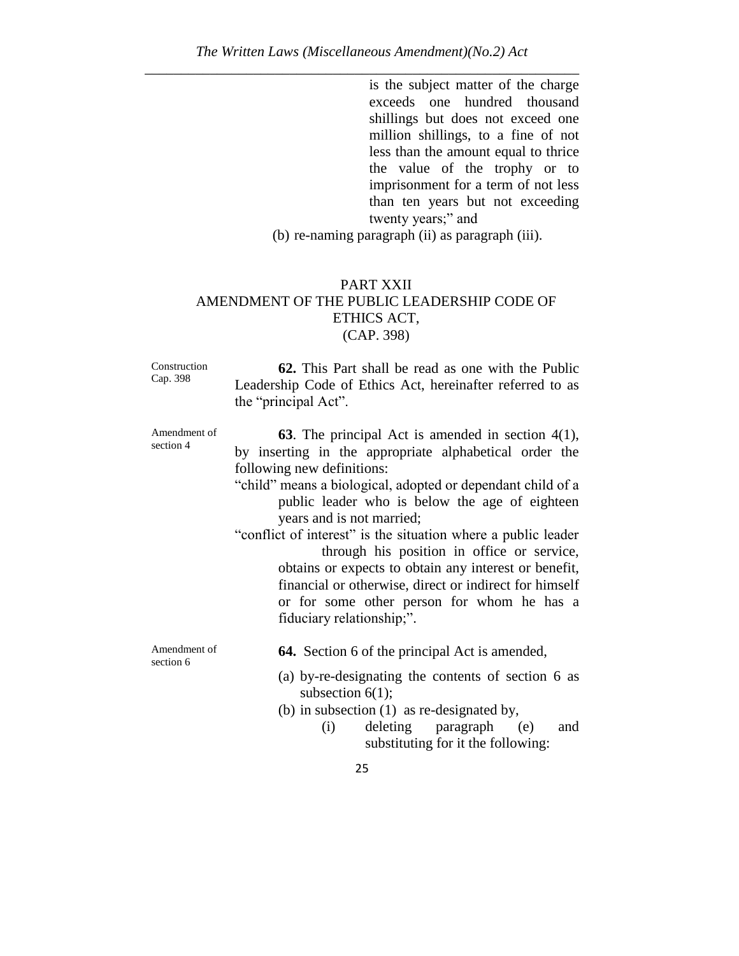is the subject matter of the charge exceeds one hundred thousand shillings but does not exceed one million shillings, to a fine of not less than the amount equal to thrice the value of the trophy or to imprisonment for a term of not less than ten years but not exceeding twenty years;" and

(b) re-naming paragraph (ii) as paragraph (iii).

#### PART XXII AMENDMENT OF THE PUBLIC LEADERSHIP CODE OF ETHICS ACT, (CAP. 398)

Construction Cap. 398

**62.** This Part shall be read as one with the Public Leadership Code of Ethics Act, hereinafter referred to as the "principal Act".

Amendment of section 4

**63**. The principal Act is amended in section 4(1), by inserting in the appropriate alphabetical order the following new definitions:

- "child" means a biological, adopted or dependant child of a public leader who is below the age of eighteen years and is not married;
- "conflict of interest" is the situation where a public leader through his position in office or service, obtains or expects to obtain any interest or benefit, financial or otherwise, direct or indirect for himself or for some other person for whom he has a fiduciary relationship;".

Amendment of section 6

- **64.** Section 6 of the principal Act is amended,
- (a) by-re-designating the contents of section 6 as subsection  $6(1)$ ;
- (b) in subsection (1) as re-designated by,
	- (i) deleting paragraph (e) and substituting for it the following: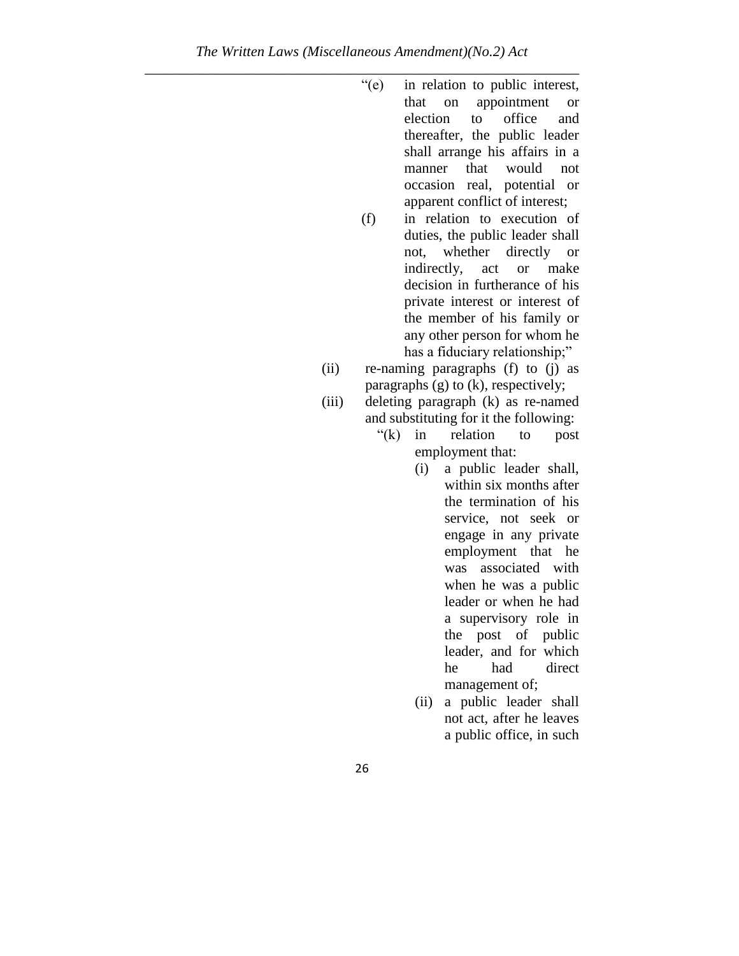- "(e) in relation to public interest, that on appointment or election to office and thereafter, the public leader shall arrange his affairs in a manner that would not occasion real, potential or apparent conflict of interest;
- (f) in relation to execution of duties, the public leader shall not, whether directly or indirectly, act or make decision in furtherance of his private interest or interest of the member of his family or any other person for whom he has a fiduciary relationship;"
- (ii) re-naming paragraphs (f) to (j) as paragraphs (g) to (k), respectively;
- (iii) deleting paragraph (k) as re-named and substituting for it the following:
	- "(k) in relation to post employment that:
		- (i) a public leader shall, within six months after the termination of his service, not seek or engage in any private employment that he was associated with when he was a public leader or when he had a supervisory role in the post of public leader, and for which he had direct management of;
		- (ii) a public leader shall not act, after he leaves a public office, in such
	- 26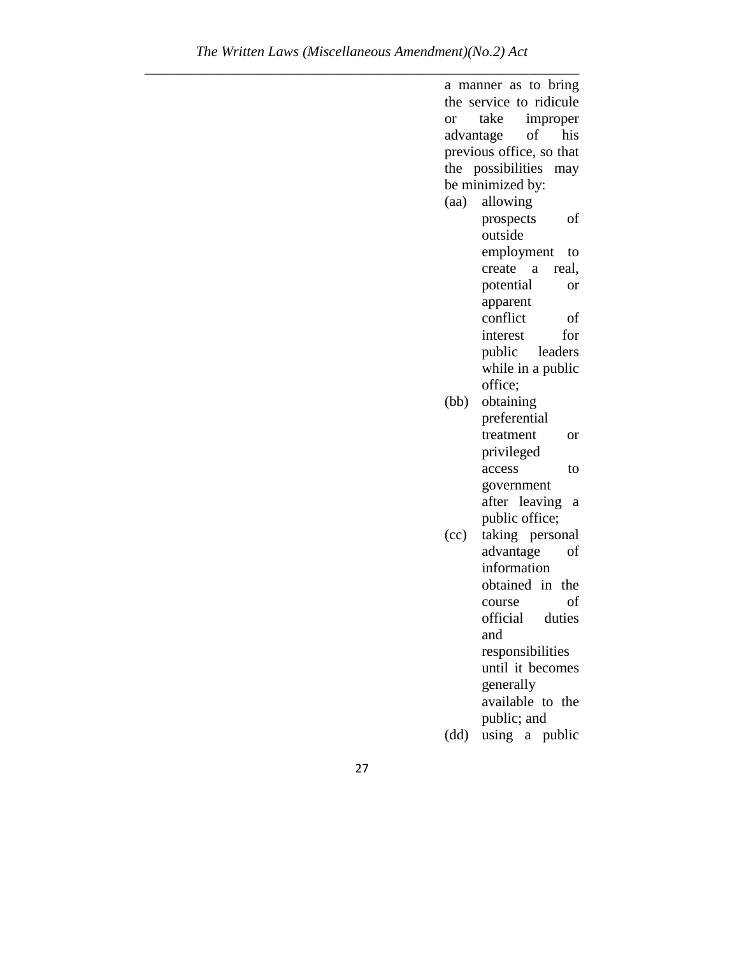a manner as to bring the service to ridicule or take improper advantage of his previous office, so that the possibilities may be minimized by: (aa) allowing prospects of outside employment to create a real, potential or apparent conflict of interest for public leaders while in a public office; (bb) obtaining preferential treatment or privileged access to government after leaving a public office; (cc) taking personal advantage of information obtained in the course of official duties and responsibilities until it becomes generally available to the public; and (dd) using a public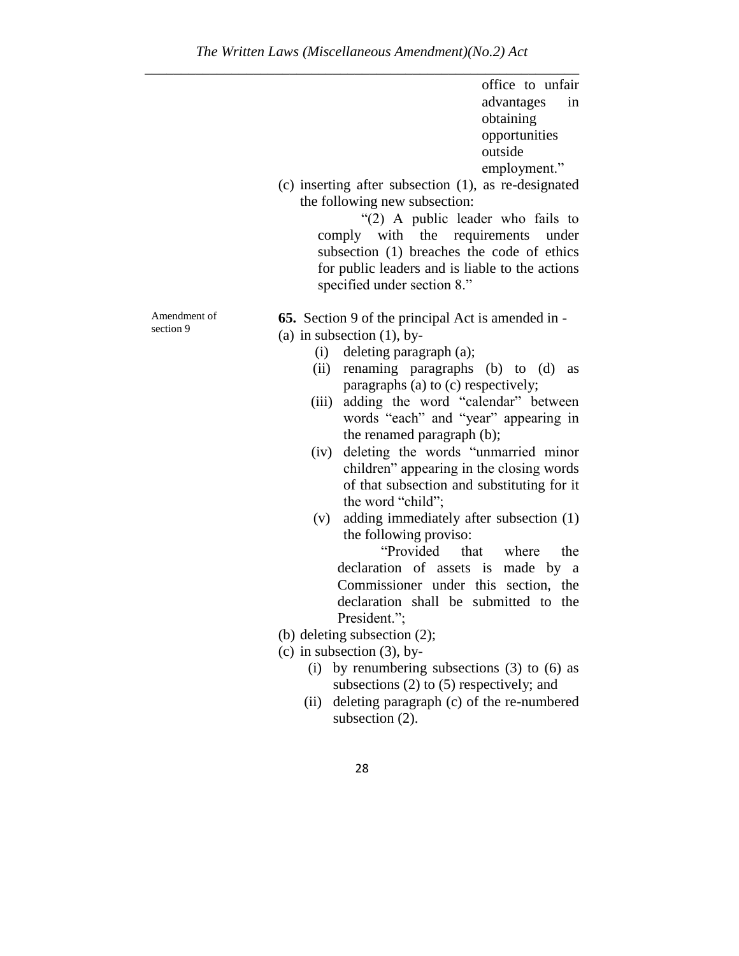office to unfair advantages in obtaining opportunities outside employment."

(c) inserting after subsection (1), as re-designated the following new subsection:

"(2) A public leader who fails to comply with the requirements under subsection (1) breaches the code of ethics for public leaders and is liable to the actions specified under section 8."

Amendment of section 9

**65.** Section 9 of the principal Act is amended in -

(a) in subsection  $(1)$ , by-

- (i) deleting paragraph (a);
- (ii) renaming paragraphs (b) to (d) as paragraphs (a) to (c) respectively;
- (iii) adding the word "calendar" between words "each" and "year" appearing in the renamed paragraph (b);
- (iv) deleting the words "unmarried minor children" appearing in the closing words of that subsection and substituting for it the word "child";
- (v) adding immediately after subsection (1) the following proviso:

"Provided that where the declaration of assets is made by a Commissioner under this section, the declaration shall be submitted to the President.";

- (b) deleting subsection (2);
- $(c)$  in subsection  $(3)$ , by-
	- (i) by renumbering subsections  $(3)$  to  $(6)$  as subsections (2) to (5) respectively; and
	- (ii) deleting paragraph (c) of the re-numbered subsection  $(2)$ .
		- 28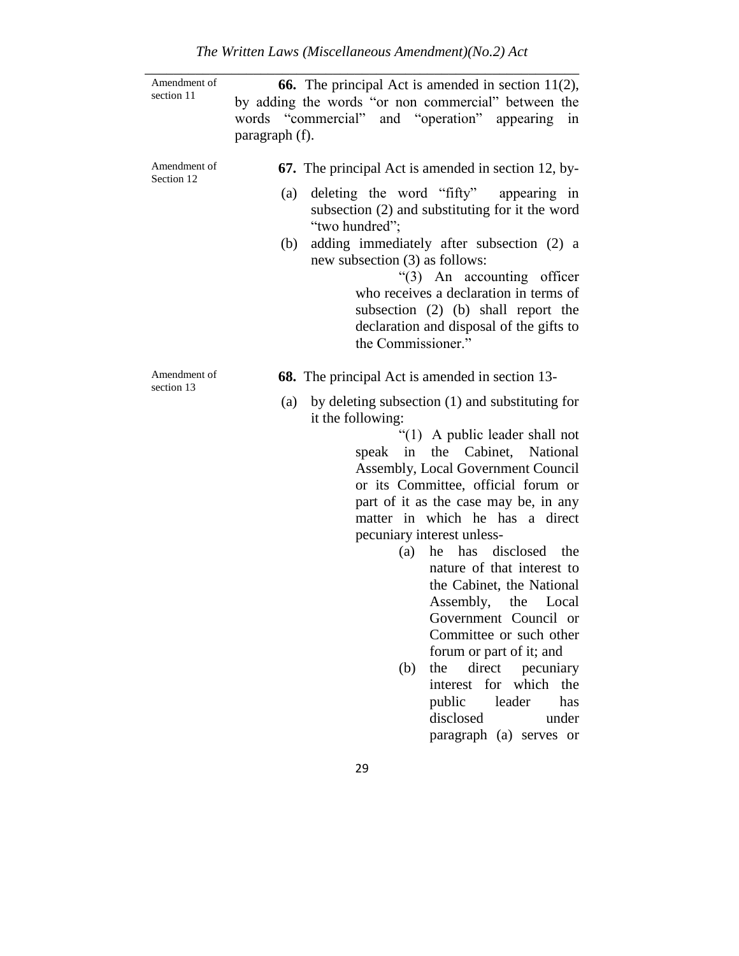| Amendment of<br>section 11 | <b>66.</b> The principal Act is amended in section $11(2)$ ,<br>by adding the words "or non commercial" between the<br>words "commercial" and "operation" appearing in<br>paragraph (f).         |
|----------------------------|--------------------------------------------------------------------------------------------------------------------------------------------------------------------------------------------------|
| Amendment of<br>Section 12 | <b>67.</b> The principal Act is amended in section 12, by-                                                                                                                                       |
|                            | deleting the word "fifty" appearing in<br>(a)<br>subsection (2) and substituting for it the word<br>"two hundred";                                                                               |
|                            | adding immediately after subsection (2) a<br>(b)<br>new subsection (3) as follows:<br>"(3) An accounting officer                                                                                 |
|                            | who receives a declaration in terms of<br>subsection (2) (b) shall report the<br>declaration and disposal of the gifts to                                                                        |
|                            | the Commissioner."                                                                                                                                                                               |
| Amendment of<br>section 13 | <b>68.</b> The principal Act is amended in section 13-                                                                                                                                           |
|                            | by deleting subsection (1) and substituting for<br>(a)<br>it the following:                                                                                                                      |
|                            | " $(1)$ A public leader shall not<br>speak in the Cabinet, National<br><b>Assembly, Local Government Council</b><br>or its Committee, official forum or<br>part of it as the case may be, in any |
|                            | matter in which he has a direct                                                                                                                                                                  |
|                            | pecuniary interest unless-                                                                                                                                                                       |
|                            | has disclosed the<br>(a)<br>he<br>nature of that interest to<br>the Cabinet, the National<br>Assembly, the Local<br>Government Council or<br>Committee or such other<br>forum or part of it; and |
|                            | direct pecuniary<br>the<br>(b)<br>interest for which the<br>public<br>leader<br>has<br>disclosed<br>under<br>paragraph (a) serves or                                                             |
|                            | 29                                                                                                                                                                                               |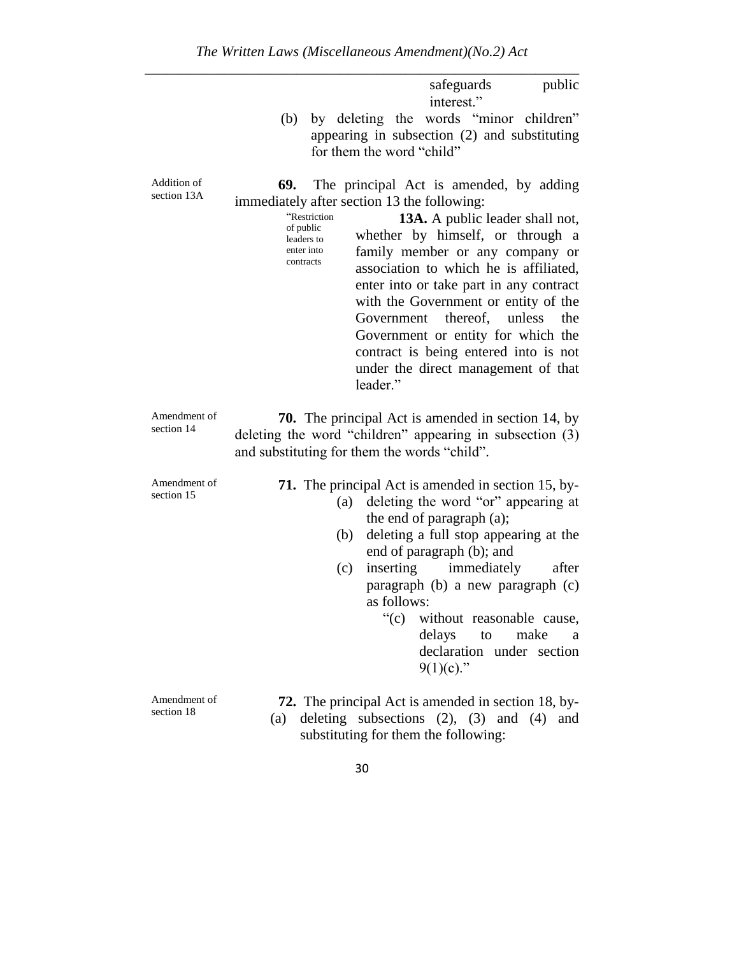|                            | public<br>safeguards<br>interest."                                                                                                                                                                                                                                                                                                                                                                                                                                                                                                                                                             |
|----------------------------|------------------------------------------------------------------------------------------------------------------------------------------------------------------------------------------------------------------------------------------------------------------------------------------------------------------------------------------------------------------------------------------------------------------------------------------------------------------------------------------------------------------------------------------------------------------------------------------------|
|                            | by deleting the words "minor children"<br>(b)<br>appearing in subsection (2) and substituting<br>for them the word "child"                                                                                                                                                                                                                                                                                                                                                                                                                                                                     |
| Addition of<br>section 13A | 69.<br>The principal Act is amended, by adding<br>immediately after section 13 the following:<br>"Restriction<br><b>13A.</b> A public leader shall not,<br>of public<br>whether by himself, or through a<br>leaders to<br>family member or any company or<br>enter into<br>contracts<br>association to which he is affiliated,<br>enter into or take part in any contract<br>with the Government or entity of the<br>thereof,<br>unless<br>Government<br>the<br>Government or entity for which the<br>contract is being entered into is not<br>under the direct management of that<br>leader." |
| Amendment of<br>section 14 | <b>70.</b> The principal Act is amended in section 14, by<br>deleting the word "children" appearing in subsection (3)<br>and substituting for them the words "child".                                                                                                                                                                                                                                                                                                                                                                                                                          |
| Amendment of<br>section 15 | <b>71.</b> The principal Act is amended in section 15, by-<br>deleting the word "or" appearing at<br>(a)<br>the end of paragraph (a);<br>deleting a full stop appearing at the<br>(b)<br>end of paragraph (b); and<br>inserting<br>immediately<br>(c)<br>after<br>paragraph (b) a new paragraph (c)<br>as follows:<br>"(c) without reasonable cause,<br>delays<br>to<br>make<br>a<br>declaration under section<br>$9(1)(c)$ ."                                                                                                                                                                 |
| Amendment of<br>section 18 | <b>72.</b> The principal Act is amended in section 18, by-<br>deleting subsections $(2)$ , $(3)$ and $(4)$ and<br>(a)<br>substituting for them the following:                                                                                                                                                                                                                                                                                                                                                                                                                                  |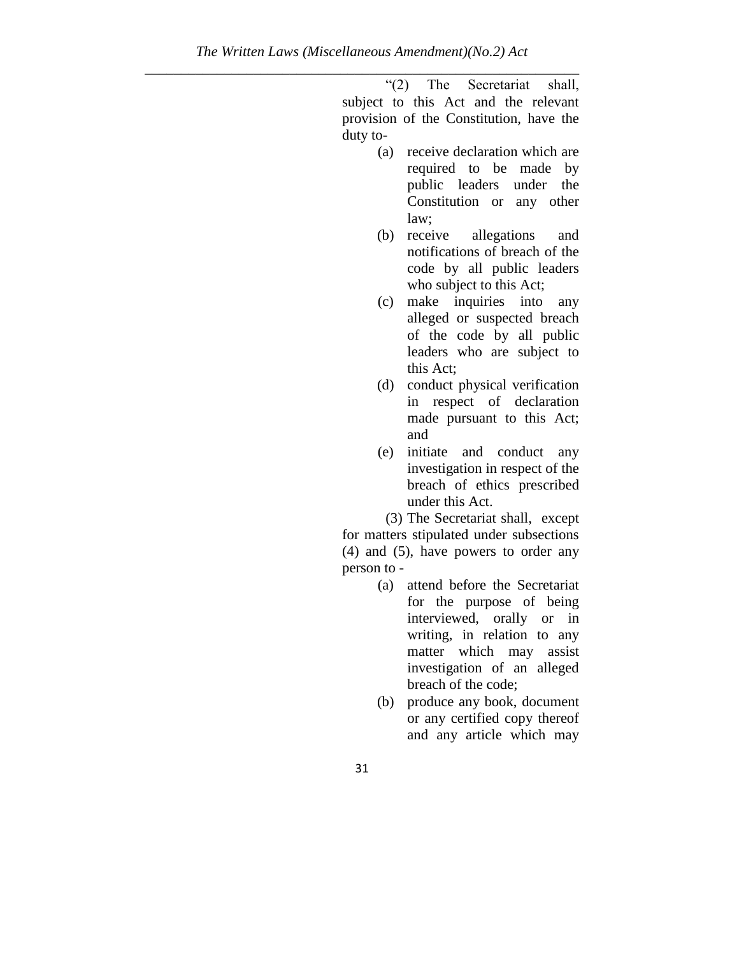"(2) The Secretariat shall, subject to this Act and the relevant provision of the Constitution, have the duty to-

- (a) receive declaration which are required to be made by public leaders under the Constitution or any other law;
- (b) receive allegations and notifications of breach of the code by all public leaders who subject to this Act;
- (c) make inquiries into any alleged or suspected breach of the code by all public leaders who are subject to this Act;
- (d) conduct physical verification in respect of declaration made pursuant to this Act; and
- (e) initiate and conduct any investigation in respect of the breach of ethics prescribed under this Act.

(3) The Secretariat shall, except for matters stipulated under subsections (4) and (5), have powers to order any person to -

- (a) attend before the Secretariat for the purpose of being interviewed, orally or in writing, in relation to any matter which may assist investigation of an alleged breach of the code;
- (b) produce any book, document or any certified copy thereof and any article which may
- 31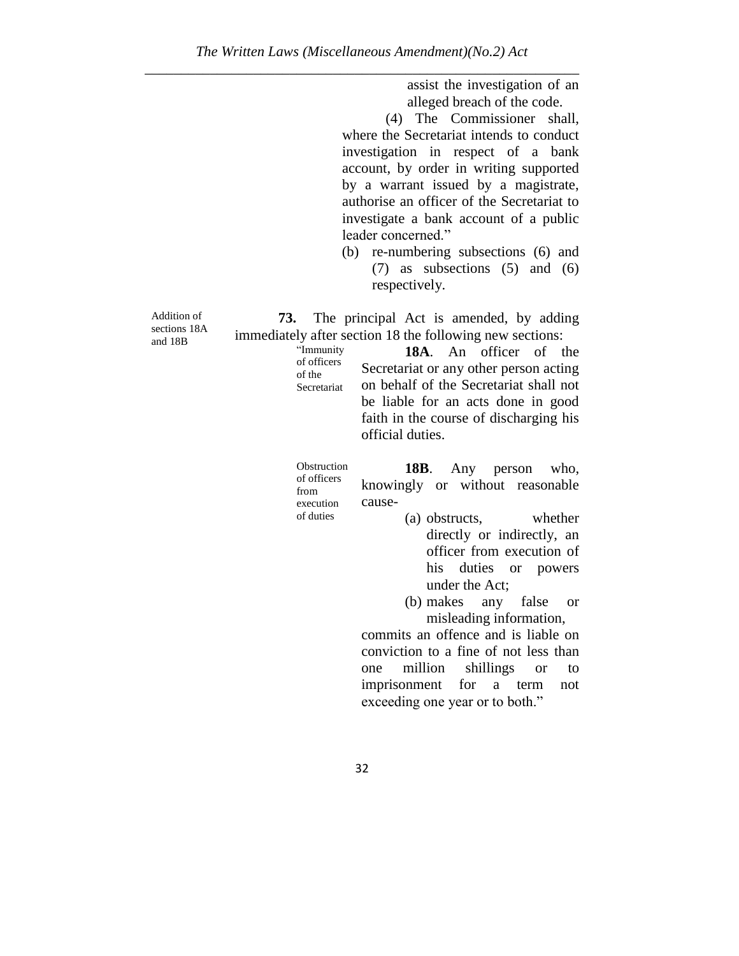assist the investigation of an alleged breach of the code.

(4) The Commissioner shall, where the Secretariat intends to conduct investigation in respect of a bank account, by order in writing supported by a warrant issued by a magistrate, authorise an officer of the Secretariat to investigate a bank account of a public leader concerned."

(b) re-numbering subsections (6) and (7) as subsections (5) and (6) respectively.

**73.** The principal Act is amended, by adding immediately after section 18 the following new sections:

"Immunity of officers of the **Secretariat** 

**18A**. An officer of the Secretariat or any other person acting on behalf of the Secretariat shall not be liable for an acts done in good faith in the course of discharging his official duties.

Obstruction of officers from execution of duties

**18B**. Any person who, knowingly or without reasonable cause-

- (a) obstructs, whether directly or indirectly, an officer from execution of his duties or powers under the Act;
- (b) makes any false or misleading information,

commits an offence and is liable on conviction to a fine of not less than one million shillings or to imprisonment for a term not exceeding one year or to both."

Addition of sections 18A and 18B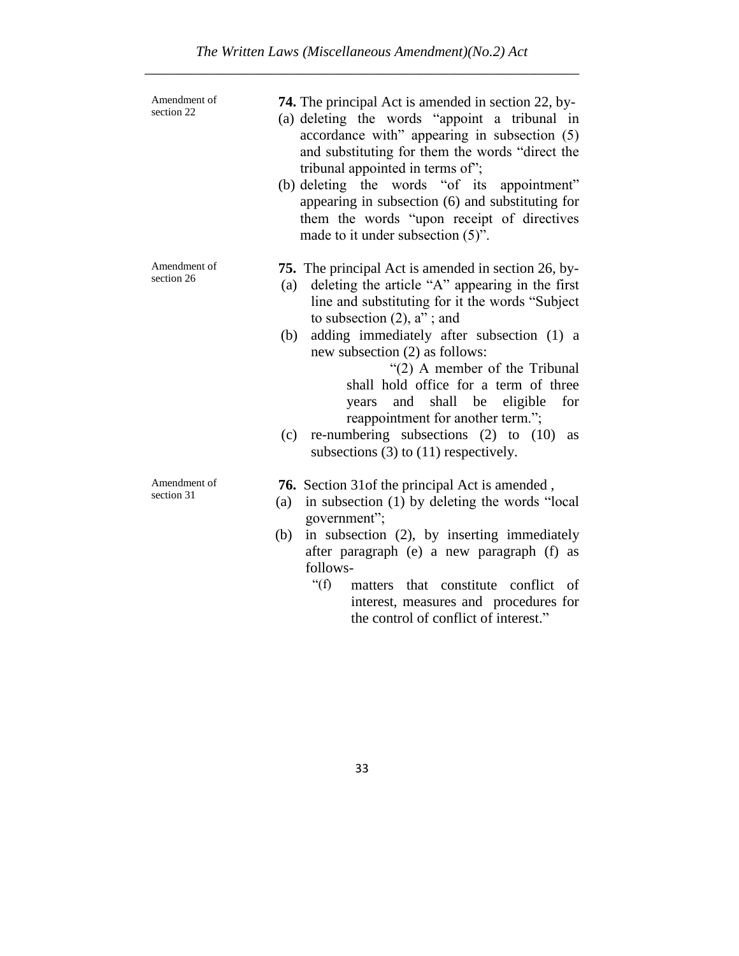| Amendment of<br>section 22 | <b>74.</b> The principal Act is amended in section 22, by-<br>(a) deleting the words "appoint a tribunal in<br>accordance with" appearing in subsection (5)<br>and substituting for them the words "direct the<br>tribunal appointed in terms of";<br>(b) deleting the words "of its<br>appointment"<br>appearing in subsection (6) and substituting for<br>them the words "upon receipt of directives<br>made to it under subsection (5)".                                                                                                                            |
|----------------------------|------------------------------------------------------------------------------------------------------------------------------------------------------------------------------------------------------------------------------------------------------------------------------------------------------------------------------------------------------------------------------------------------------------------------------------------------------------------------------------------------------------------------------------------------------------------------|
| Amendment of<br>section 26 | <b>75.</b> The principal Act is amended in section 26, by-<br>deleting the article "A" appearing in the first<br>(a)<br>line and substituting for it the words "Subject<br>to subsection $(2)$ , $a$ "; and<br>adding immediately after subsection (1) a<br>(b)<br>new subsection (2) as follows:<br>"(2) A member of the Tribunal<br>shall hold office for a term of three<br>and shall be eligible<br>for<br>years<br>reappointment for another term.";<br>re-numbering subsections $(2)$ to $(10)$<br>(c)<br><b>as</b><br>subsections $(3)$ to $(11)$ respectively. |
| Amendment of<br>section 31 | 76. Section 31 of the principal Act is amended,<br>in subsection (1) by deleting the words "local<br>(a)<br>government";<br>in subsection (2), by inserting immediately<br>(b)<br>after paragraph (e) a new paragraph (f) as<br>follows-<br>" $(f)$ "<br>that constitute conflict of<br>matters<br>interest, measures and procedures for<br>the control of conflict of interest."                                                                                                                                                                                      |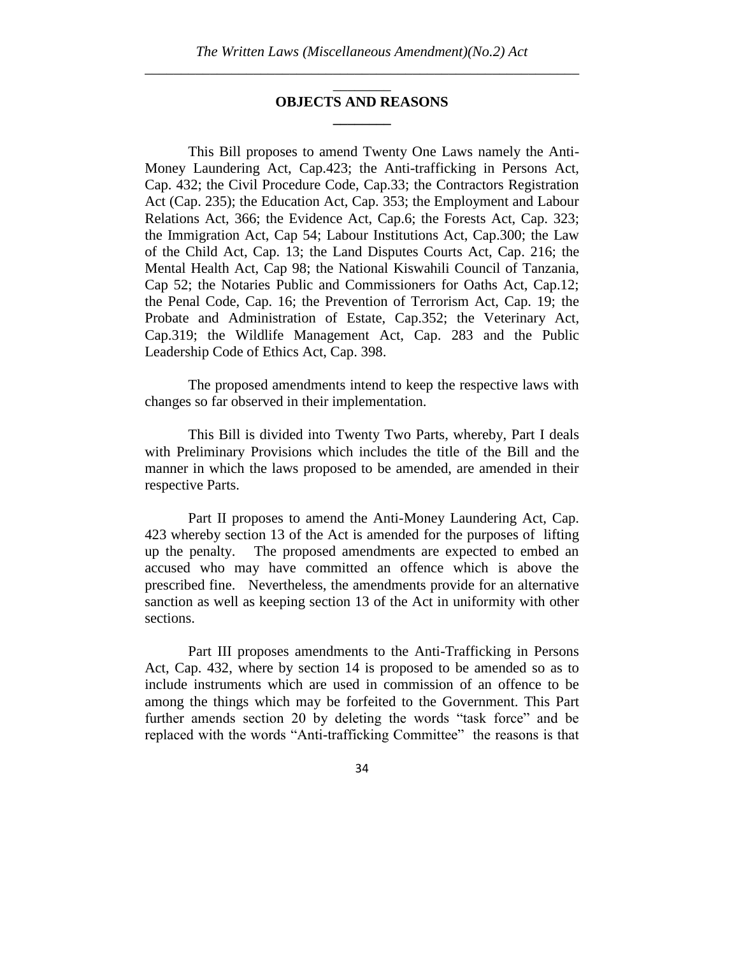### \_\_\_\_\_\_\_\_ **OBJECTS AND REASONS \_\_\_\_\_\_\_\_**

This Bill proposes to amend Twenty One Laws namely the Anti-Money Laundering Act, Cap.423; the Anti-trafficking in Persons Act, Cap. 432; the Civil Procedure Code, Cap.33; the Contractors Registration Act (Cap. 235); the Education Act, Cap. 353; the Employment and Labour Relations Act, 366; the Evidence Act, Cap.6; the Forests Act, Cap. 323; the Immigration Act, Cap 54; Labour Institutions Act, Cap.300; the Law of the Child Act, Cap. 13; the Land Disputes Courts Act, Cap. 216; the Mental Health Act, Cap 98; the National Kiswahili Council of Tanzania, Cap 52; the Notaries Public and Commissioners for Oaths Act, Cap.12; the Penal Code, Cap. 16; the Prevention of Terrorism Act, Cap. 19; the Probate and Administration of Estate, Cap.352; the Veterinary Act, Cap.319; the Wildlife Management Act, Cap. 283 and the Public Leadership Code of Ethics Act, Cap. 398.

The proposed amendments intend to keep the respective laws with changes so far observed in their implementation.

This Bill is divided into Twenty Two Parts, whereby, Part I deals with Preliminary Provisions which includes the title of the Bill and the manner in which the laws proposed to be amended, are amended in their respective Parts.

Part II proposes to amend the Anti-Money Laundering Act, Cap. 423 whereby section 13 of the Act is amended for the purposes of lifting up the penalty. The proposed amendments are expected to embed an accused who may have committed an offence which is above the prescribed fine. Nevertheless, the amendments provide for an alternative sanction as well as keeping section 13 of the Act in uniformity with other sections.

Part III proposes amendments to the Anti-Trafficking in Persons Act, Cap. 432, where by section 14 is proposed to be amended so as to include instruments which are used in commission of an offence to be among the things which may be forfeited to the Government. This Part further amends section 20 by deleting the words "task force" and be replaced with the words "Anti-trafficking Committee" the reasons is that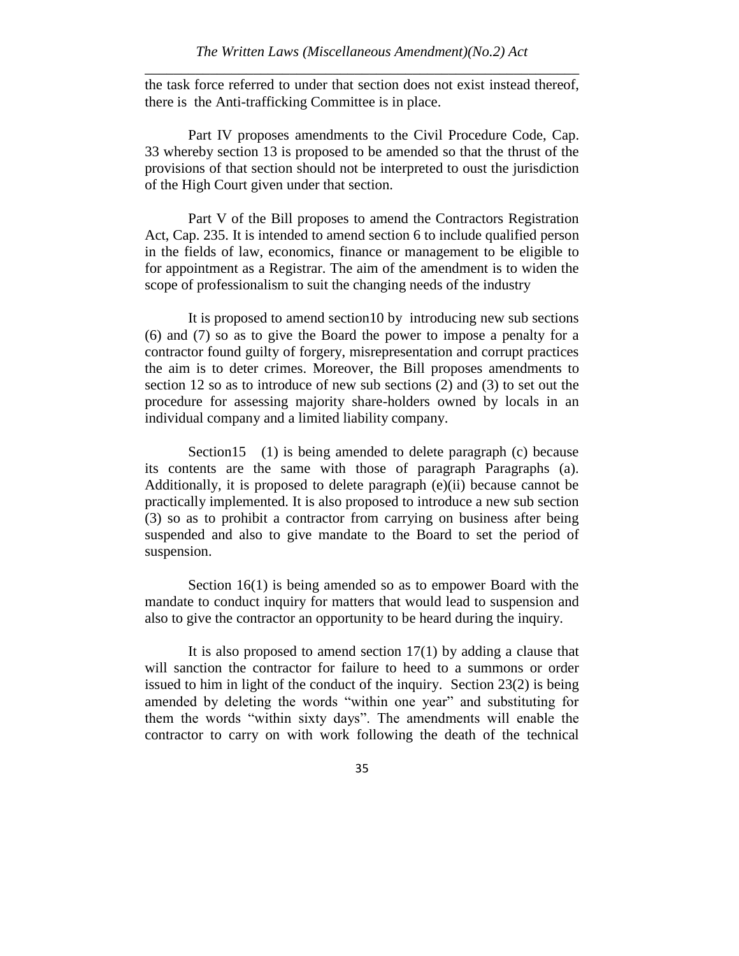the task force referred to under that section does not exist instead thereof, there is the Anti-trafficking Committee is in place.

Part IV proposes amendments to the Civil Procedure Code, Cap. 33 whereby section 13 is proposed to be amended so that the thrust of the provisions of that section should not be interpreted to oust the jurisdiction of the High Court given under that section.

Part V of the Bill proposes to amend the Contractors Registration Act, Cap. 235. It is intended to amend section 6 to include qualified person in the fields of law, economics, finance or management to be eligible to for appointment as a Registrar. The aim of the amendment is to widen the scope of professionalism to suit the changing needs of the industry

It is proposed to amend section10 by introducing new sub sections (6) and (7) so as to give the Board the power to impose a penalty for a contractor found guilty of forgery, misrepresentation and corrupt practices the aim is to deter crimes. Moreover, the Bill proposes amendments to section 12 so as to introduce of new sub sections (2) and (3) to set out the procedure for assessing majority share-holders owned by locals in an individual company and a limited liability company.

Section 15 (1) is being amended to delete paragraph (c) because its contents are the same with those of paragraph Paragraphs (a). Additionally, it is proposed to delete paragraph (e)(ii) because cannot be practically implemented. It is also proposed to introduce a new sub section (3) so as to prohibit a contractor from carrying on business after being suspended and also to give mandate to the Board to set the period of suspension.

Section 16(1) is being amended so as to empower Board with the mandate to conduct inquiry for matters that would lead to suspension and also to give the contractor an opportunity to be heard during the inquiry.

It is also proposed to amend section  $17(1)$  by adding a clause that will sanction the contractor for failure to heed to a summons or order issued to him in light of the conduct of the inquiry. Section 23(2) is being amended by deleting the words "within one year" and substituting for them the words "within sixty days". The amendments will enable the contractor to carry on with work following the death of the technical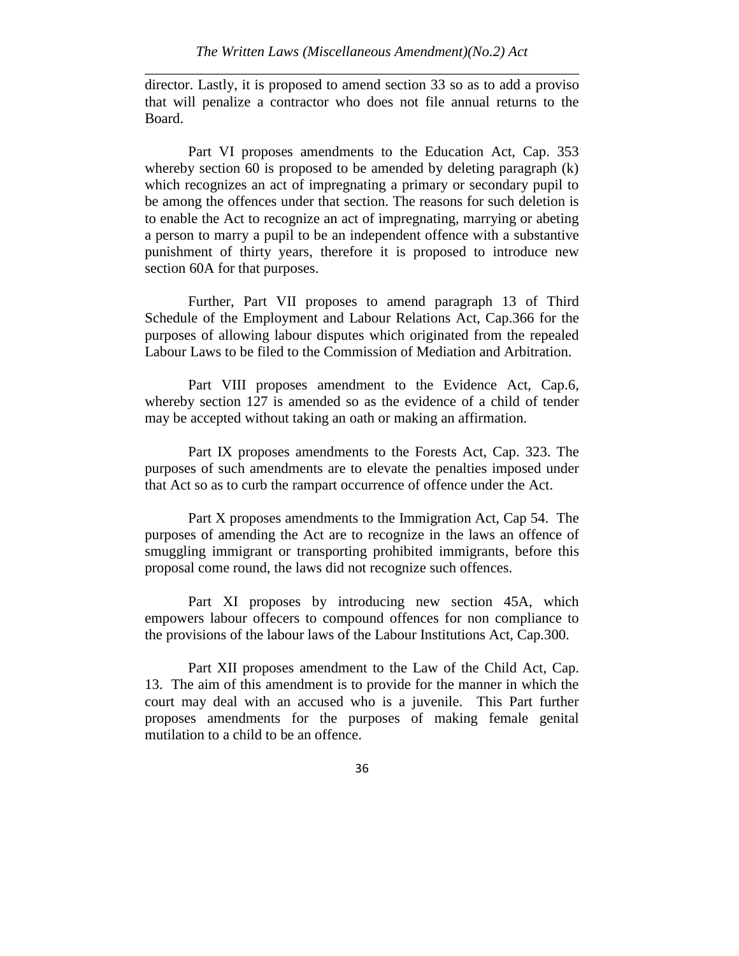director. Lastly, it is proposed to amend section 33 so as to add a proviso that will penalize a contractor who does not file annual returns to the Board.

Part VI proposes amendments to the Education Act, Cap. 353 whereby section 60 is proposed to be amended by deleting paragraph  $(k)$ which recognizes an act of impregnating a primary or secondary pupil to be among the offences under that section. The reasons for such deletion is to enable the Act to recognize an act of impregnating, marrying or abeting a person to marry a pupil to be an independent offence with a substantive punishment of thirty years, therefore it is proposed to introduce new section 60A for that purposes.

Further, Part VII proposes to amend paragraph 13 of Third Schedule of the Employment and Labour Relations Act, Cap.366 for the purposes of allowing labour disputes which originated from the repealed Labour Laws to be filed to the Commission of Mediation and Arbitration.

Part VIII proposes amendment to the Evidence Act, Cap.6, whereby section 127 is amended so as the evidence of a child of tender may be accepted without taking an oath or making an affirmation.

Part IX proposes amendments to the Forests Act, Cap. 323. The purposes of such amendments are to elevate the penalties imposed under that Act so as to curb the rampart occurrence of offence under the Act.

Part X proposes amendments to the Immigration Act, Cap 54. The purposes of amending the Act are to recognize in the laws an offence of smuggling immigrant or transporting prohibited immigrants, before this proposal come round, the laws did not recognize such offences.

Part XI proposes by introducing new section 45A, which empowers labour offecers to compound offences for non compliance to the provisions of the labour laws of the Labour Institutions Act, Cap.300.

Part XII proposes amendment to the Law of the Child Act, Cap. 13. The aim of this amendment is to provide for the manner in which the court may deal with an accused who is a juvenile. This Part further proposes amendments for the purposes of making female genital mutilation to a child to be an offence.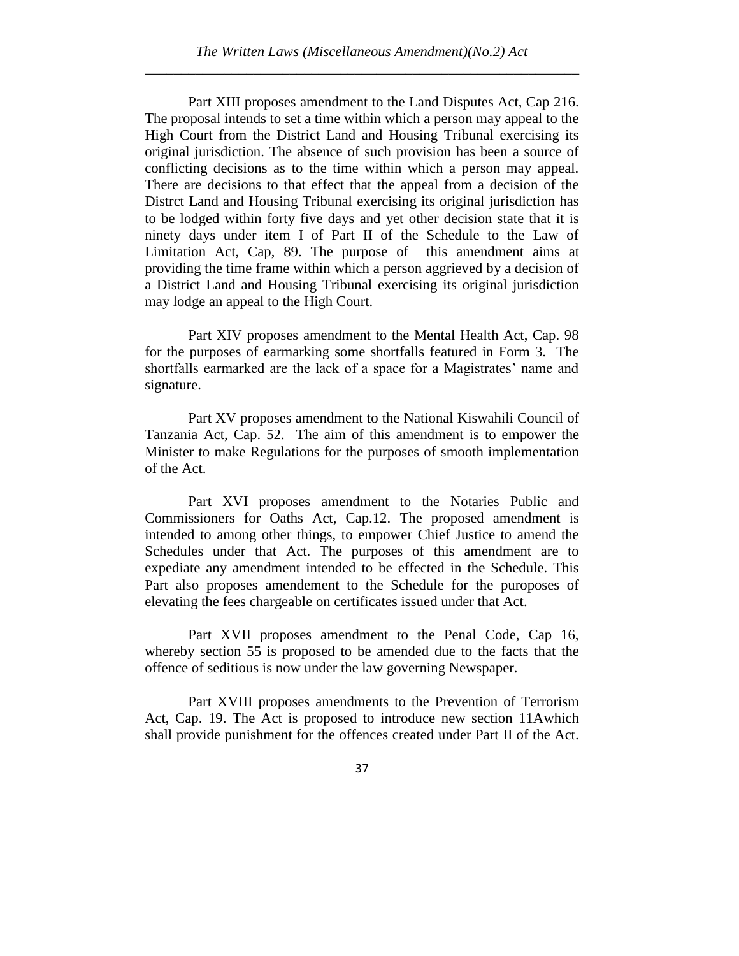Part XIII proposes amendment to the Land Disputes Act, Cap 216. The proposal intends to set a time within which a person may appeal to the High Court from the District Land and Housing Tribunal exercising its original jurisdiction. The absence of such provision has been a source of conflicting decisions as to the time within which a person may appeal. There are decisions to that effect that the appeal from a decision of the Distrct Land and Housing Tribunal exercising its original jurisdiction has to be lodged within forty five days and yet other decision state that it is ninety days under item I of Part II of the Schedule to the Law of Limitation Act, Cap, 89. The purpose of this amendment aims at providing the time frame within which a person aggrieved by a decision of a District Land and Housing Tribunal exercising its original jurisdiction may lodge an appeal to the High Court.

Part XIV proposes amendment to the Mental Health Act, Cap. 98 for the purposes of earmarking some shortfalls featured in Form 3. The shortfalls earmarked are the lack of a space for a Magistrates' name and signature.

Part XV proposes amendment to the National Kiswahili Council of Tanzania Act, Cap. 52. The aim of this amendment is to empower the Minister to make Regulations for the purposes of smooth implementation of the Act.

Part XVI proposes amendment to the Notaries Public and Commissioners for Oaths Act, Cap.12. The proposed amendment is intended to among other things, to empower Chief Justice to amend the Schedules under that Act. The purposes of this amendment are to expediate any amendment intended to be effected in the Schedule. This Part also proposes amendement to the Schedule for the puroposes of elevating the fees chargeable on certificates issued under that Act.

Part XVII proposes amendment to the Penal Code, Cap 16, whereby section 55 is proposed to be amended due to the facts that the offence of seditious is now under the law governing Newspaper.

Part XVIII proposes amendments to the Prevention of Terrorism Act, Cap. 19. The Act is proposed to introduce new section 11Awhich shall provide punishment for the offences created under Part II of the Act.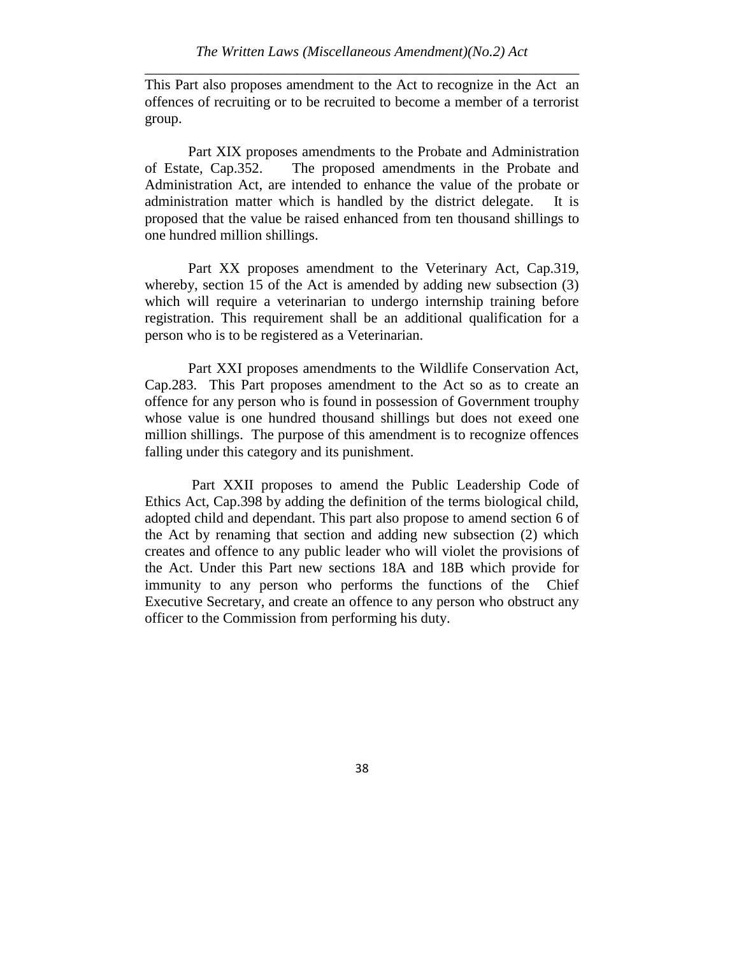This Part also proposes amendment to the Act to recognize in the Act an offences of recruiting or to be recruited to become a member of a terrorist group.

Part XIX proposes amendments to the Probate and Administration of Estate, Cap.352. The proposed amendments in the Probate and Administration Act, are intended to enhance the value of the probate or administration matter which is handled by the district delegate. It is proposed that the value be raised enhanced from ten thousand shillings to one hundred million shillings.

Part XX proposes amendment to the Veterinary Act, Cap.319, whereby, section 15 of the Act is amended by adding new subsection (3) which will require a veterinarian to undergo internship training before registration. This requirement shall be an additional qualification for a person who is to be registered as a Veterinarian.

Part XXI proposes amendments to the Wildlife Conservation Act, Cap.283. This Part proposes amendment to the Act so as to create an offence for any person who is found in possession of Government trouphy whose value is one hundred thousand shillings but does not exeed one million shillings. The purpose of this amendment is to recognize offences falling under this category and its punishment.

Part XXII proposes to amend the Public Leadership Code of Ethics Act, Cap.398 by adding the definition of the terms biological child, adopted child and dependant. This part also propose to amend section 6 of the Act by renaming that section and adding new subsection (2) which creates and offence to any public leader who will violet the provisions of the Act. Under this Part new sections 18A and 18B which provide for immunity to any person who performs the functions of the Chief Executive Secretary, and create an offence to any person who obstruct any officer to the Commission from performing his duty.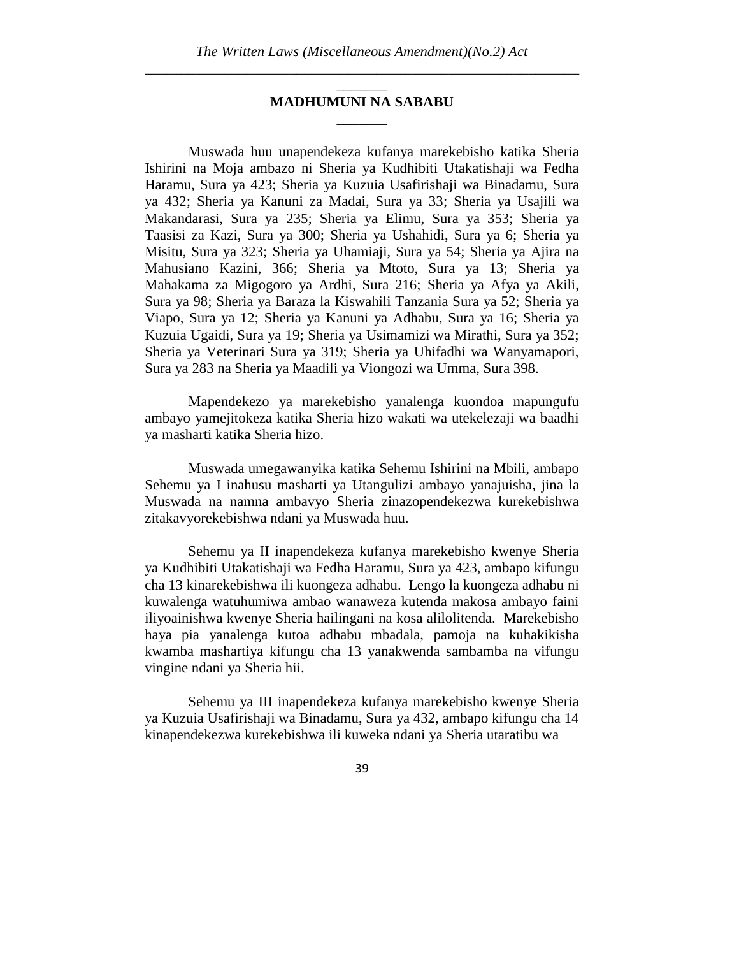### \_\_\_\_\_\_\_ **MADHUMUNI NA SABABU** \_\_\_\_\_\_\_

Muswada huu unapendekeza kufanya marekebisho katika Sheria Ishirini na Moja ambazo ni Sheria ya Kudhibiti Utakatishaji wa Fedha Haramu, Sura ya 423; Sheria ya Kuzuia Usafirishaji wa Binadamu, Sura ya 432; Sheria ya Kanuni za Madai, Sura ya 33; Sheria ya Usajili wa Makandarasi, Sura ya 235; Sheria ya Elimu, Sura ya 353; Sheria ya Taasisi za Kazi, Sura ya 300; Sheria ya Ushahidi, Sura ya 6; Sheria ya Misitu, Sura ya 323; Sheria ya Uhamiaji, Sura ya 54; Sheria ya Ajira na Mahusiano Kazini, 366; Sheria ya Mtoto, Sura ya 13; Sheria ya Mahakama za Migogoro ya Ardhi, Sura 216; Sheria ya Afya ya Akili, Sura ya 98; Sheria ya Baraza la Kiswahili Tanzania Sura ya 52; Sheria ya Viapo, Sura ya 12; Sheria ya Kanuni ya Adhabu, Sura ya 16; Sheria ya Kuzuia Ugaidi, Sura ya 19; Sheria ya Usimamizi wa Mirathi, Sura ya 352; Sheria ya Veterinari Sura ya 319; Sheria ya Uhifadhi wa Wanyamapori, Sura ya 283 na Sheria ya Maadili ya Viongozi wa Umma, Sura 398.

Mapendekezo ya marekebisho yanalenga kuondoa mapungufu ambayo yamejitokeza katika Sheria hizo wakati wa utekelezaji wa baadhi ya masharti katika Sheria hizo.

Muswada umegawanyika katika Sehemu Ishirini na Mbili, ambapo Sehemu ya I inahusu masharti ya Utangulizi ambayo yanajuisha, jina la Muswada na namna ambavyo Sheria zinazopendekezwa kurekebishwa zitakavyorekebishwa ndani ya Muswada huu.

Sehemu ya II inapendekeza kufanya marekebisho kwenye Sheria ya Kudhibiti Utakatishaji wa Fedha Haramu, Sura ya 423, ambapo kifungu cha 13 kinarekebishwa ili kuongeza adhabu. Lengo la kuongeza adhabu ni kuwalenga watuhumiwa ambao wanaweza kutenda makosa ambayo faini iliyoainishwa kwenye Sheria hailingani na kosa alilolitenda. Marekebisho haya pia yanalenga kutoa adhabu mbadala, pamoja na kuhakikisha kwamba mashartiya kifungu cha 13 yanakwenda sambamba na vifungu vingine ndani ya Sheria hii.

Sehemu ya III inapendekeza kufanya marekebisho kwenye Sheria ya Kuzuia Usafirishaji wa Binadamu, Sura ya 432, ambapo kifungu cha 14 kinapendekezwa kurekebishwa ili kuweka ndani ya Sheria utaratibu wa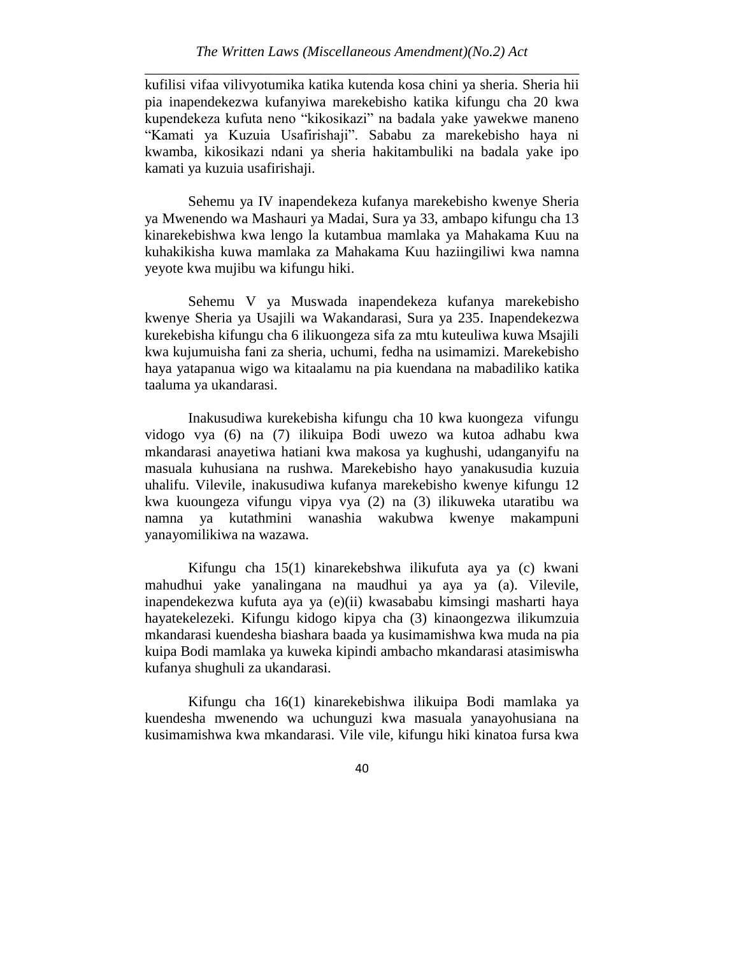kufilisi vifaa vilivyotumika katika kutenda kosa chini ya sheria. Sheria hii pia inapendekezwa kufanyiwa marekebisho katika kifungu cha 20 kwa kupendekeza kufuta neno "kikosikazi" na badala yake yawekwe maneno "Kamati ya Kuzuia Usafirishaji". Sababu za marekebisho haya ni kwamba, kikosikazi ndani ya sheria hakitambuliki na badala yake ipo kamati ya kuzuia usafirishaji.

Sehemu ya IV inapendekeza kufanya marekebisho kwenye Sheria ya Mwenendo wa Mashauri ya Madai, Sura ya 33, ambapo kifungu cha 13 kinarekebishwa kwa lengo la kutambua mamlaka ya Mahakama Kuu na kuhakikisha kuwa mamlaka za Mahakama Kuu haziingiliwi kwa namna yeyote kwa mujibu wa kifungu hiki.

Sehemu V ya Muswada inapendekeza kufanya marekebisho kwenye Sheria ya Usajili wa Wakandarasi, Sura ya 235. Inapendekezwa kurekebisha kifungu cha 6 ilikuongeza sifa za mtu kuteuliwa kuwa Msajili kwa kujumuisha fani za sheria, uchumi, fedha na usimamizi. Marekebisho haya yatapanua wigo wa kitaalamu na pia kuendana na mabadiliko katika taaluma ya ukandarasi.

Inakusudiwa kurekebisha kifungu cha 10 kwa kuongeza vifungu vidogo vya (6) na (7) ilikuipa Bodi uwezo wa kutoa adhabu kwa mkandarasi anayetiwa hatiani kwa makosa ya kughushi, udanganyifu na masuala kuhusiana na rushwa. Marekebisho hayo yanakusudia kuzuia uhalifu. Vilevile, inakusudiwa kufanya marekebisho kwenye kifungu 12 kwa kuoungeza vifungu vipya vya (2) na (3) ilikuweka utaratibu wa namna ya kutathmini wanashia wakubwa kwenye makampuni yanayomilikiwa na wazawa.

Kifungu cha 15(1) kinarekebshwa ilikufuta aya ya (c) kwani mahudhui yake yanalingana na maudhui ya aya ya (a). Vilevile, inapendekezwa kufuta aya ya (e)(ii) kwasababu kimsingi masharti haya hayatekelezeki. Kifungu kidogo kipya cha (3) kinaongezwa ilikumzuia mkandarasi kuendesha biashara baada ya kusimamishwa kwa muda na pia kuipa Bodi mamlaka ya kuweka kipindi ambacho mkandarasi atasimiswha kufanya shughuli za ukandarasi.

Kifungu cha 16(1) kinarekebishwa ilikuipa Bodi mamlaka ya kuendesha mwenendo wa uchunguzi kwa masuala yanayohusiana na kusimamishwa kwa mkandarasi. Vile vile, kifungu hiki kinatoa fursa kwa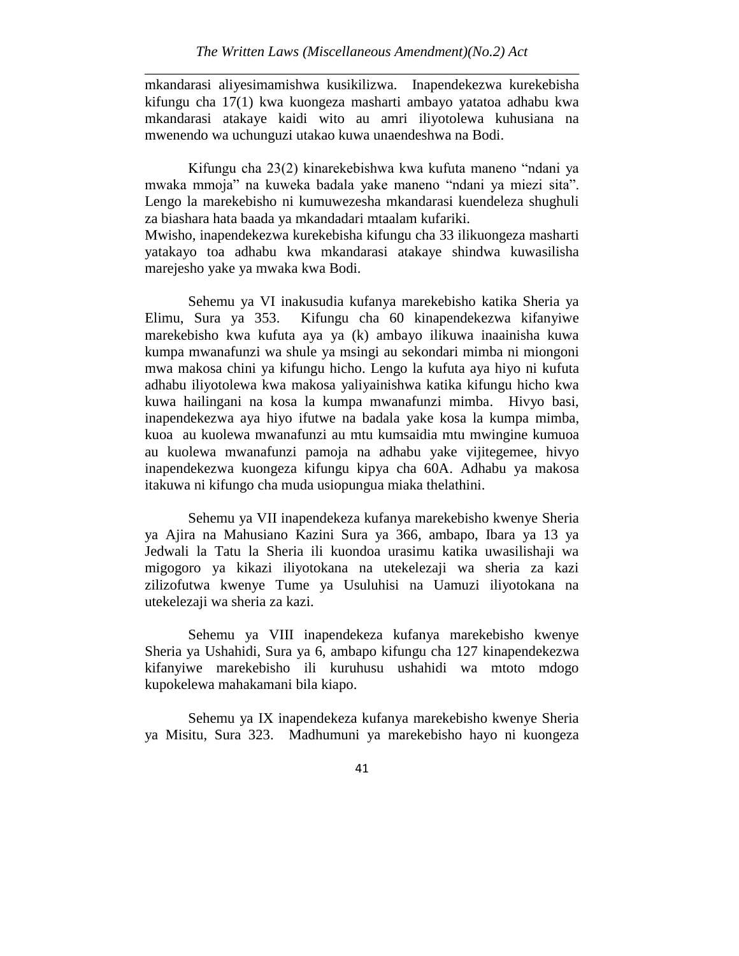mkandarasi aliyesimamishwa kusikilizwa. Inapendekezwa kurekebisha kifungu cha 17(1) kwa kuongeza masharti ambayo yatatoa adhabu kwa mkandarasi atakaye kaidi wito au amri iliyotolewa kuhusiana na mwenendo wa uchunguzi utakao kuwa unaendeshwa na Bodi.

Kifungu cha 23(2) kinarekebishwa kwa kufuta maneno "ndani ya mwaka mmoja" na kuweka badala yake maneno "ndani ya miezi sita". Lengo la marekebisho ni kumuwezesha mkandarasi kuendeleza shughuli za biashara hata baada ya mkandadari mtaalam kufariki.

Mwisho, inapendekezwa kurekebisha kifungu cha 33 ilikuongeza masharti yatakayo toa adhabu kwa mkandarasi atakaye shindwa kuwasilisha marejesho yake ya mwaka kwa Bodi.

Sehemu ya VI inakusudia kufanya marekebisho katika Sheria ya Elimu, Sura ya 353. Kifungu cha 60 kinapendekezwa kifanyiwe marekebisho kwa kufuta aya ya (k) ambayo ilikuwa inaainisha kuwa kumpa mwanafunzi wa shule ya msingi au sekondari mimba ni miongoni mwa makosa chini ya kifungu hicho. Lengo la kufuta aya hiyo ni kufuta adhabu iliyotolewa kwa makosa yaliyainishwa katika kifungu hicho kwa kuwa hailingani na kosa la kumpa mwanafunzi mimba. Hivyo basi, inapendekezwa aya hiyo ifutwe na badala yake kosa la kumpa mimba, kuoa au kuolewa mwanafunzi au mtu kumsaidia mtu mwingine kumuoa au kuolewa mwanafunzi pamoja na adhabu yake vijitegemee, hivyo inapendekezwa kuongeza kifungu kipya cha 60A. Adhabu ya makosa itakuwa ni kifungo cha muda usiopungua miaka thelathini.

Sehemu ya VII inapendekeza kufanya marekebisho kwenye Sheria ya Ajira na Mahusiano Kazini Sura ya 366, ambapo, Ibara ya 13 ya Jedwali la Tatu la Sheria ili kuondoa urasimu katika uwasilishaji wa migogoro ya kikazi iliyotokana na utekelezaji wa sheria za kazi zilizofutwa kwenye Tume ya Usuluhisi na Uamuzi iliyotokana na utekelezaji wa sheria za kazi.

Sehemu ya VIII inapendekeza kufanya marekebisho kwenye Sheria ya Ushahidi, Sura ya 6, ambapo kifungu cha 127 kinapendekezwa kifanyiwe marekebisho ili kuruhusu ushahidi wa mtoto mdogo kupokelewa mahakamani bila kiapo.

Sehemu ya IX inapendekeza kufanya marekebisho kwenye Sheria ya Misitu, Sura 323. Madhumuni ya marekebisho hayo ni kuongeza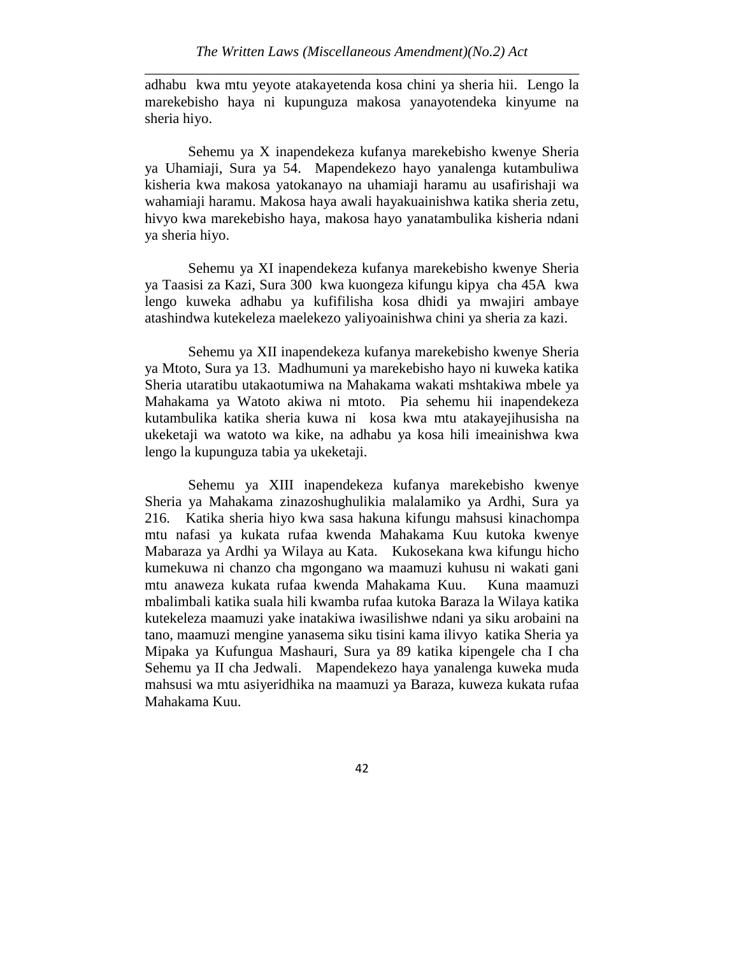adhabu kwa mtu yeyote atakayetenda kosa chini ya sheria hii. Lengo la marekebisho haya ni kupunguza makosa yanayotendeka kinyume na sheria hiyo.

Sehemu ya X inapendekeza kufanya marekebisho kwenye Sheria ya Uhamiaji, Sura ya 54. Mapendekezo hayo yanalenga kutambuliwa kisheria kwa makosa yatokanayo na uhamiaji haramu au usafirishaji wa wahamiaji haramu. Makosa haya awali hayakuainishwa katika sheria zetu, hivyo kwa marekebisho haya, makosa hayo yanatambulika kisheria ndani ya sheria hiyo.

Sehemu ya XI inapendekeza kufanya marekebisho kwenye Sheria ya Taasisi za Kazi, Sura 300 kwa kuongeza kifungu kipya cha 45A kwa lengo kuweka adhabu ya kufifilisha kosa dhidi ya mwajiri ambaye atashindwa kutekeleza maelekezo yaliyoainishwa chini ya sheria za kazi.

Sehemu ya XII inapendekeza kufanya marekebisho kwenye Sheria ya Mtoto, Sura ya 13. Madhumuni ya marekebisho hayo ni kuweka katika Sheria utaratibu utakaotumiwa na Mahakama wakati mshtakiwa mbele ya Mahakama ya Watoto akiwa ni mtoto. Pia sehemu hii inapendekeza kutambulika katika sheria kuwa ni kosa kwa mtu atakayejihusisha na ukeketaji wa watoto wa kike, na adhabu ya kosa hili imeainishwa kwa lengo la kupunguza tabia ya ukeketaji.

Sehemu ya XIII inapendekeza kufanya marekebisho kwenye Sheria ya Mahakama zinazoshughulikia malalamiko ya Ardhi, Sura ya 216. Katika sheria hiyo kwa sasa hakuna kifungu mahsusi kinachompa mtu nafasi ya kukata rufaa kwenda Mahakama Kuu kutoka kwenye Mabaraza ya Ardhi ya Wilaya au Kata. Kukosekana kwa kifungu hicho kumekuwa ni chanzo cha mgongano wa maamuzi kuhusu ni wakati gani mtu anaweza kukata rufaa kwenda Mahakama Kuu. Kuna maamuzi mbalimbali katika suala hili kwamba rufaa kutoka Baraza la Wilaya katika kutekeleza maamuzi yake inatakiwa iwasilishwe ndani ya siku arobaini na tano, maamuzi mengine yanasema siku tisini kama ilivyo katika Sheria ya Mipaka ya Kufungua Mashauri, Sura ya 89 katika kipengele cha I cha Sehemu ya II cha Jedwali. Mapendekezo haya yanalenga kuweka muda mahsusi wa mtu asiyeridhika na maamuzi ya Baraza, kuweza kukata rufaa Mahakama Kuu.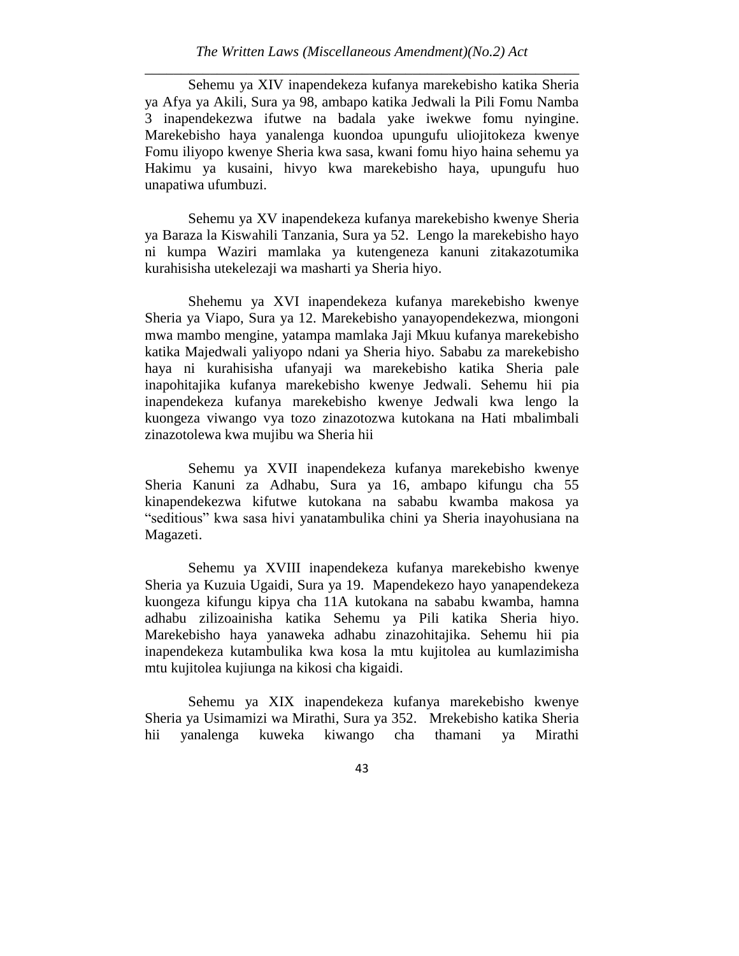Sehemu ya XIV inapendekeza kufanya marekebisho katika Sheria ya Afya ya Akili, Sura ya 98, ambapo katika Jedwali la Pili Fomu Namba 3 inapendekezwa ifutwe na badala yake iwekwe fomu nyingine. Marekebisho haya yanalenga kuondoa upungufu uliojitokeza kwenye Fomu iliyopo kwenye Sheria kwa sasa, kwani fomu hiyo haina sehemu ya Hakimu ya kusaini, hivyo kwa marekebisho haya, upungufu huo unapatiwa ufumbuzi.

Sehemu ya XV inapendekeza kufanya marekebisho kwenye Sheria ya Baraza la Kiswahili Tanzania, Sura ya 52. Lengo la marekebisho hayo ni kumpa Waziri mamlaka ya kutengeneza kanuni zitakazotumika kurahisisha utekelezaji wa masharti ya Sheria hiyo.

Shehemu ya XVI inapendekeza kufanya marekebisho kwenye Sheria ya Viapo, Sura ya 12. Marekebisho yanayopendekezwa, miongoni mwa mambo mengine, yatampa mamlaka Jaji Mkuu kufanya marekebisho katika Majedwali yaliyopo ndani ya Sheria hiyo. Sababu za marekebisho haya ni kurahisisha ufanyaji wa marekebisho katika Sheria pale inapohitajika kufanya marekebisho kwenye Jedwali. Sehemu hii pia inapendekeza kufanya marekebisho kwenye Jedwali kwa lengo la kuongeza viwango vya tozo zinazotozwa kutokana na Hati mbalimbali zinazotolewa kwa mujibu wa Sheria hii

Sehemu ya XVII inapendekeza kufanya marekebisho kwenye Sheria Kanuni za Adhabu, Sura ya 16, ambapo kifungu cha 55 kinapendekezwa kifutwe kutokana na sababu kwamba makosa ya "seditious" kwa sasa hivi yanatambulika chini ya Sheria inayohusiana na Magazeti.

Sehemu ya XVIII inapendekeza kufanya marekebisho kwenye Sheria ya Kuzuia Ugaidi, Sura ya 19. Mapendekezo hayo yanapendekeza kuongeza kifungu kipya cha 11A kutokana na sababu kwamba, hamna adhabu zilizoainisha katika Sehemu ya Pili katika Sheria hiyo. Marekebisho haya yanaweka adhabu zinazohitajika. Sehemu hii pia inapendekeza kutambulika kwa kosa la mtu kujitolea au kumlazimisha mtu kujitolea kujiunga na kikosi cha kigaidi.

Sehemu ya XIX inapendekeza kufanya marekebisho kwenye Sheria ya Usimamizi wa Mirathi, Sura ya 352. Mrekebisho katika Sheria hii yanalenga kuweka kiwango cha thamani ya Mirathi